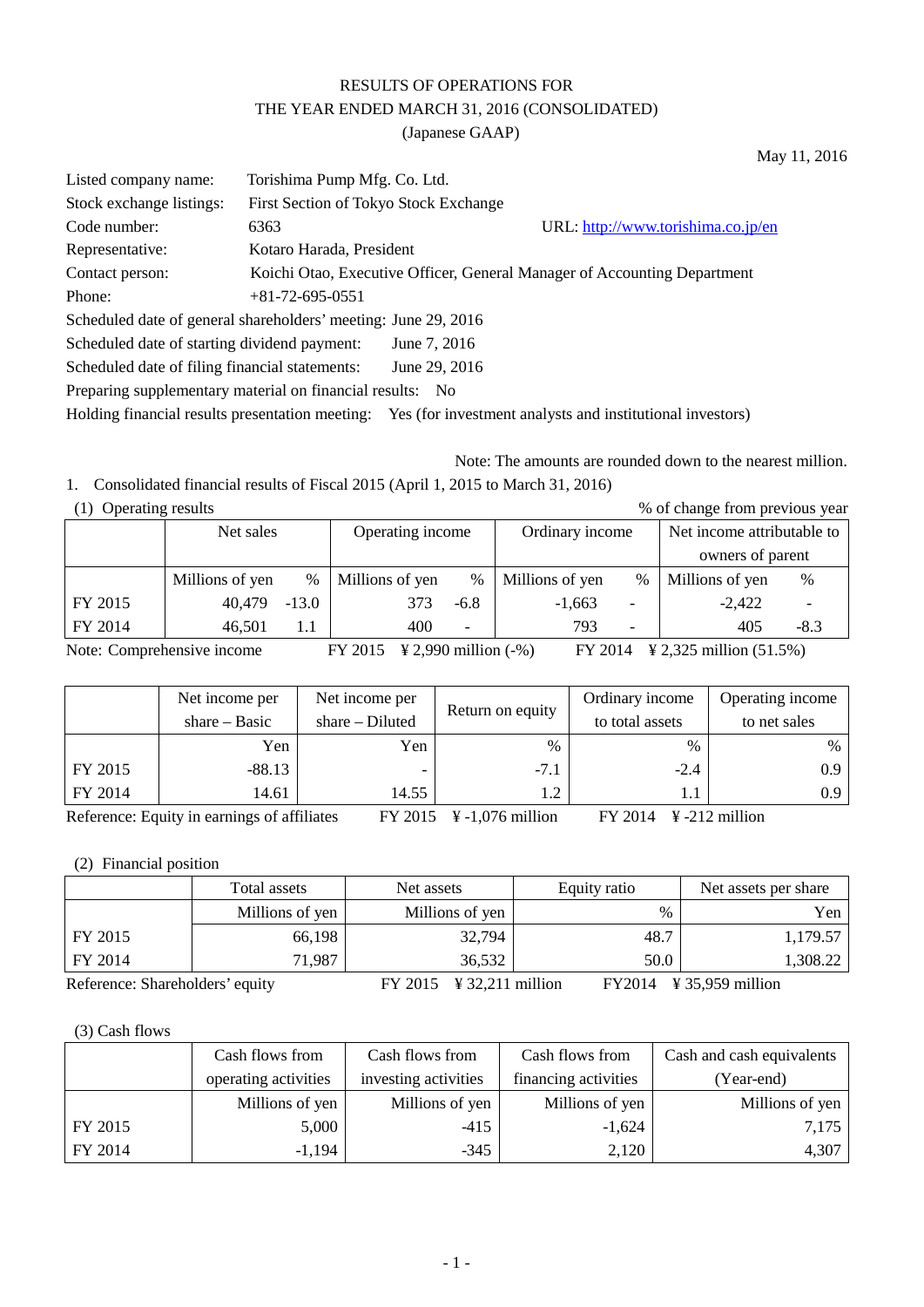# RESULTS OF OPERATIONS FOR THE YEAR ENDED MARCH 31, 2016 (CONSOLIDATED)

(Japanese GAAP)

Listed company name: Torishima Pump Mfg. Co. Ltd. Stock exchange listings: First Section of Tokyo Stock Exchange Code number: 6363 URL[: http://www.torishima.co.jp/en](http://www.torishima.co.jp/en) Representative: Kotaro Harada, President Contact person: Koichi Otao, Executive Officer, General Manager of Accounting Department Phone: +81-72-695-0551 Scheduled date of general shareholders' meeting: June 29, 2016 Scheduled date of starting dividend payment: June 7, 2016 Scheduled date of filing financial statements: June 29, 2016 Preparing supplementary material on financial results: No Holding financial results presentation meeting: Yes (for investment analysts and institutional investors)

Note: The amounts are rounded down to the nearest million.

May 11, 2016

1. Consolidated financial results of Fiscal 2015 (April 1, 2015 to March 31, 2016)

| (1) Operating results |         |                  |                          |                 |               |                            |                                |  |  |
|-----------------------|---------|------------------|--------------------------|-----------------|---------------|----------------------------|--------------------------------|--|--|
|                       |         | Operating income |                          | Ordinary income |               | Net income attributable to |                                |  |  |
|                       |         |                  |                          |                 |               | owners of parent           |                                |  |  |
| Millions of yen       | $\%$    | Millions of yen  | $\frac{0}{0}$            | Millions of yen | $\frac{0}{0}$ | Millions of yen            | %                              |  |  |
| 40,479                | $-13.0$ | 373              | $-6.8$                   | $-1,663$        |               | $-2,422$                   |                                |  |  |
| 46.501                |         | 400              | $\overline{\phantom{0}}$ | 793             |               | 405                        | -8.3                           |  |  |
|                       |         | Net sales        |                          |                 |               |                            | % of change from previous year |  |  |

Note: Comprehensive income FY 2015 \Next{4}{2,990 million (-%) FY 2014 \times 2,325 million (51.5%)

|         | Net income per  | Net income per  | Return on equity | Ordinary income | Operating income |
|---------|-----------------|-----------------|------------------|-----------------|------------------|
|         | share $-$ Basic | $share-Diluted$ |                  | to total assets | to net sales     |
|         | Yen             | Yen             | $\frac{0}{0}$    | $\%$            | $\%$             |
| FY 2015 | $-88.13$        |                 | $-7.1$           | $-2.4$          | 0.9              |
| FY 2014 | 14.61           | 14.55           | 1.2              | 1.1             | 0.9              |

Reference: Equity in earnings of affiliates FY 2015 ¥ -1,076 million FY 2014 ¥ -212 million

### (2) Financial position

|                                 | Total assets    | Net assets                          | Equity ratio | Net assets per share                   |  |
|---------------------------------|-----------------|-------------------------------------|--------------|----------------------------------------|--|
|                                 | Millions of yen | Millions of yen                     | $\%$         | Yen                                    |  |
| FY 2015                         | 66,198          | 32,794                              | 48.7         | 1,179.57                               |  |
| 71,987<br>FY 2014               |                 | 36,532                              | 50.0         | 1,308.22                               |  |
| Reference: Shareholders' equity |                 | $FY 2015 \text{ }$ ¥ 32,211 million |              | $FY2014 \quad Y35,959 \text{ million}$ |  |

#### (3) Cash flows

|         | Cash flows from      | Cash flows from      | Cash flows from      | Cash and cash equivalents |
|---------|----------------------|----------------------|----------------------|---------------------------|
|         | operating activities | investing activities | financing activities | (Year-end)                |
|         | Millions of yen      | Millions of yen      | Millions of yen      | Millions of yen           |
| FY 2015 | 5,000                | $-415$               | $-1,624$             | 7,175                     |
| FY 2014 | $-1,194$             | $-345$               | 2,120                | 4,307                     |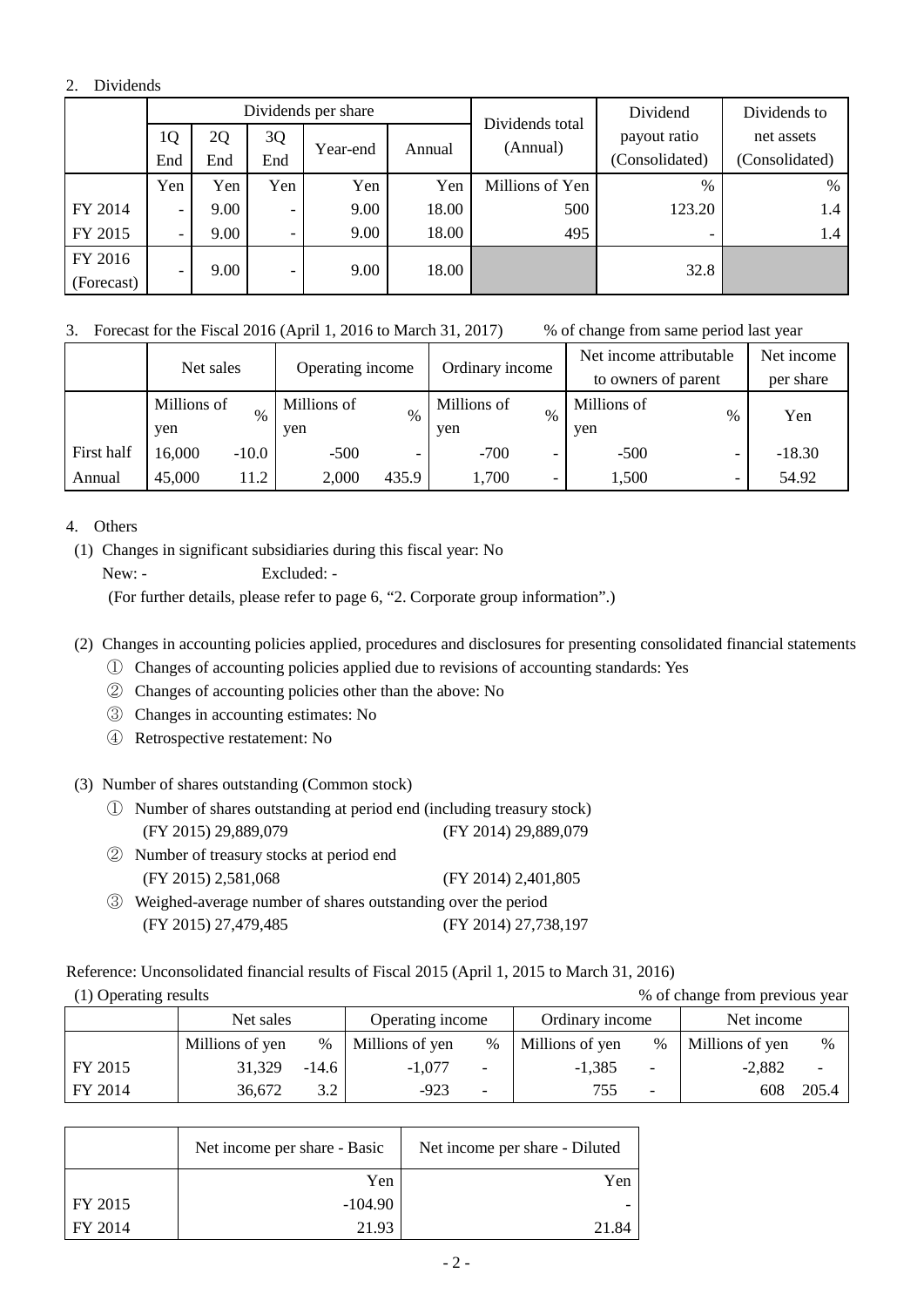#### 2. Dividends

|            |                          |      |                          | Dividends per share |        | Dividends total | Dividend       | Dividends to   |
|------------|--------------------------|------|--------------------------|---------------------|--------|-----------------|----------------|----------------|
|            | 1Q                       | 2Q   | 3Q                       |                     |        | (Annual)        | payout ratio   | net assets     |
|            | End                      | End  | End                      | Year-end            | Annual |                 | (Consolidated) | (Consolidated) |
|            | Yen                      | Yen  | Yen                      | Yen                 | Yen    | Millions of Yen | $\%$           | %              |
| FY 2014    | $\overline{\phantom{0}}$ | 9.00 | $\overline{\phantom{0}}$ | 9.00                | 18.00  | 500             | 123.20         | 1.4            |
| FY 2015    | $\overline{\phantom{a}}$ | 9.00 | $\overline{\phantom{a}}$ | 9.00                | 18.00  | 495             |                | 1.4            |
| FY 2016    |                          |      |                          | 9.00                |        |                 | 32.8           |                |
| (Forecast) | $\overline{\phantom{0}}$ | 9.00 | $\overline{\phantom{a}}$ |                     | 18.00  |                 |                |                |

3. Forecast for the Fiscal 2016 (April 1, 2016 to March 31, 2017) % of change from same period last year

|            | Net sales   |         | Operating income |       | Ordinary income |               | Net income attributable |                          | Net income |
|------------|-------------|---------|------------------|-------|-----------------|---------------|-------------------------|--------------------------|------------|
|            |             |         |                  |       |                 |               | to owners of parent     |                          | per share  |
|            | Millions of | $\%$    | Millions of      | $\%$  | Millions of     | $\frac{0}{0}$ | Millions of             | %                        | Yen        |
|            | ven         |         | yen              |       | yen             |               | yen                     |                          |            |
| First half | 16,000      | $-10.0$ | $-500$           |       | $-700$          | -             | $-500$                  | $\overline{\phantom{0}}$ | $-18.30$   |
| Annual     | 45,000      | 11.2    | 2,000            | 435.9 | 1,700           |               | 1,500                   | $\overline{\phantom{0}}$ | 54.92      |

4. Others

(1) Changes in significant subsidiaries during this fiscal year: No

New: - Excluded: -

(For further details, please refer to page 6, "2. Corporate group information".)

(2) Changes in accounting policies applied, procedures and disclosures for presenting consolidated financial statements

- ① Changes of accounting policies applied due to revisions of accounting standards: Yes
- ② Changes of accounting policies other than the above: No
- ③ Changes in accounting estimates: No
- ④ Retrospective restatement: No
- (3) Number of shares outstanding (Common stock)
	- ① Number of shares outstanding at period end (including treasury stock) (FY 2015) 29,889,079 (FY 2014) 29,889,079
	- ② Number of treasury stocks at period end (FY 2015) 2,581,068 (FY 2014) 2,401,805
	- ③ Weighed-average number of shares outstanding over the period (FY 2015) 27,479,485 (FY 2014) 27,738,197

Reference: Unconsolidated financial results of Fiscal 2015 (April 1, 2015 to March 31, 2016)

|  | (1) Operating results |  |
|--|-----------------------|--|
|  |                       |  |

% of change from previous year

|         | Net sales       |         | Operating income |      | Ordinary income |      | Net income      |       |
|---------|-----------------|---------|------------------|------|-----------------|------|-----------------|-------|
|         | Millions of yen | $\%$    | Millions of yen  | $\%$ | Millions of yen | $\%$ | Millions of yen | $\%$  |
| FY 2015 | 31.329          | $-14.6$ | -1.077           |      | $-1.385$        |      | $-2.882$        |       |
| FY 2014 | 36.672          | 2 J     | $-923$           |      | 755             |      | 608             | 205.4 |

|                 | Net income per share - Basic | Net income per share - Diluted |
|-----------------|------------------------------|--------------------------------|
|                 | Yen                          | Yen                            |
| $\vert$ FY 2015 | $-104.90$                    |                                |
| I FY 2014       | 21.93                        |                                |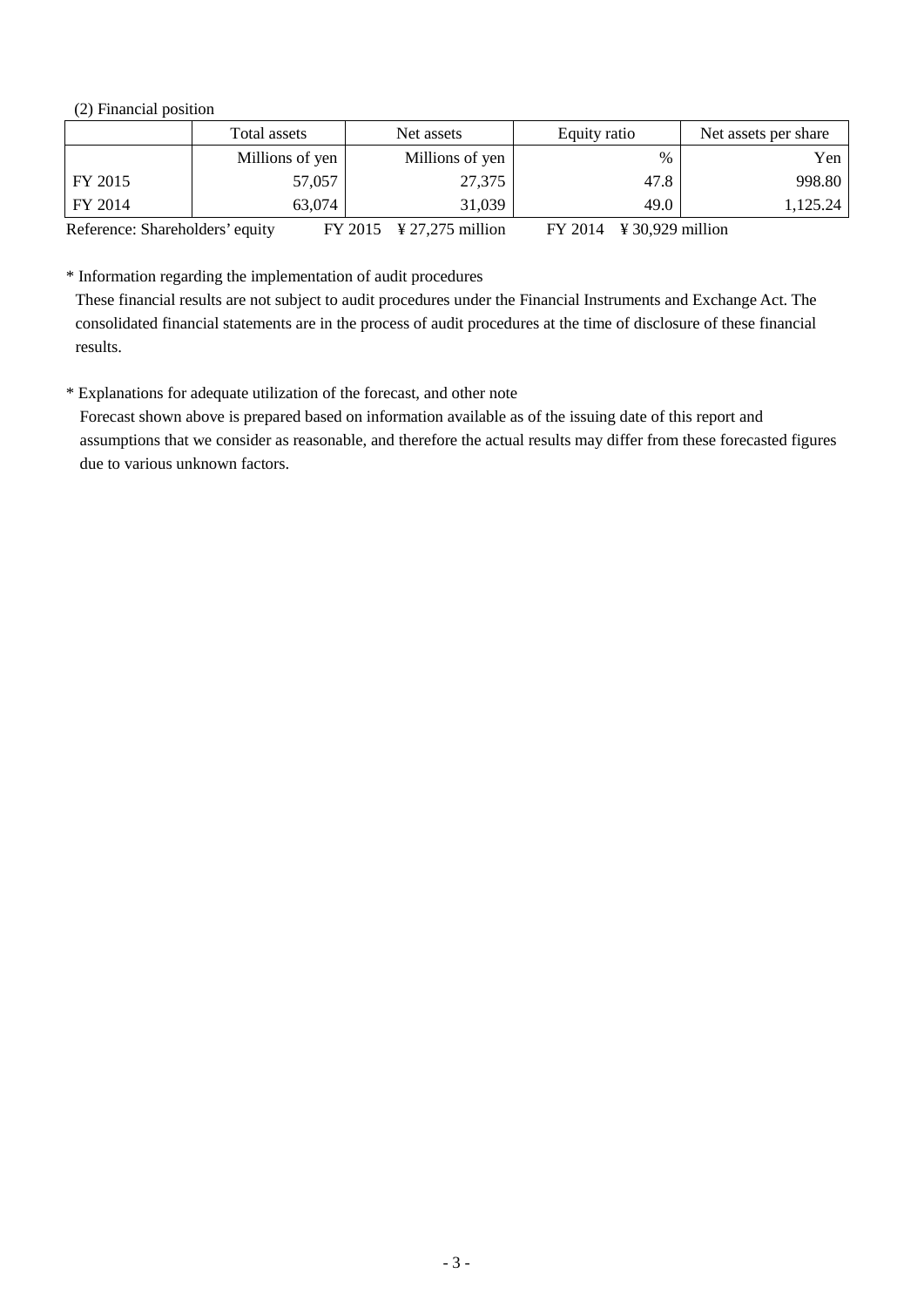(2) Financial position

|                                 | Total assets    | Net assets                         | Equity ratio                                        | Net assets per share |
|---------------------------------|-----------------|------------------------------------|-----------------------------------------------------|----------------------|
|                                 | Millions of yen | Millions of yen                    | $\%$                                                | Yen                  |
| FY 2015                         | 57,057          | 27,375                             | 47.8                                                | 998.80               |
| FY 2014                         | 63,074          | 31,039                             | 49.0                                                | 1,125.24             |
| Reference: Shareholders' equity |                 | $FY 2015 \frac{4}{27,275}$ million | $FY 2014 \text{ } \text{¥ } 30,929 \text{ million}$ |                      |

\* Information regarding the implementation of audit procedures

These financial results are not subject to audit procedures under the Financial Instruments and Exchange Act. The consolidated financial statements are in the process of audit procedures at the time of disclosure of these financial results.

\* Explanations for adequate utilization of the forecast, and other note

Forecast shown above is prepared based on information available as of the issuing date of this report and assumptions that we consider as reasonable, and therefore the actual results may differ from these forecasted figures due to various unknown factors.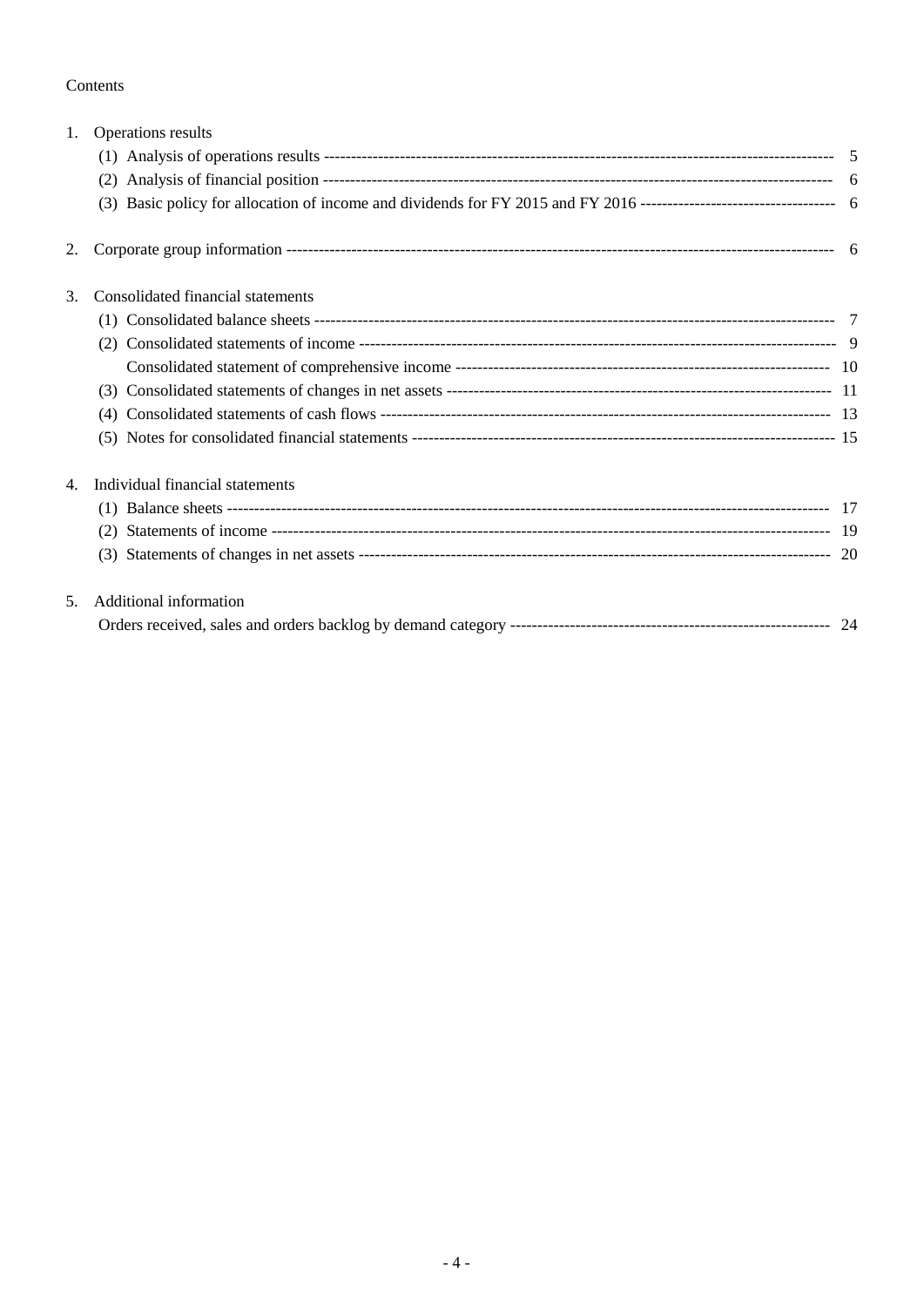#### Contents

| 1. | Operations results                |  |
|----|-----------------------------------|--|
|    |                                   |  |
|    |                                   |  |
|    |                                   |  |
| 2. |                                   |  |
| 3. | Consolidated financial statements |  |
|    |                                   |  |
|    |                                   |  |
|    |                                   |  |
|    |                                   |  |
|    | (4)                               |  |
|    |                                   |  |
| 4. | Individual financial statements   |  |
|    |                                   |  |
|    |                                   |  |
|    |                                   |  |
| 5. | Additional information            |  |
|    |                                   |  |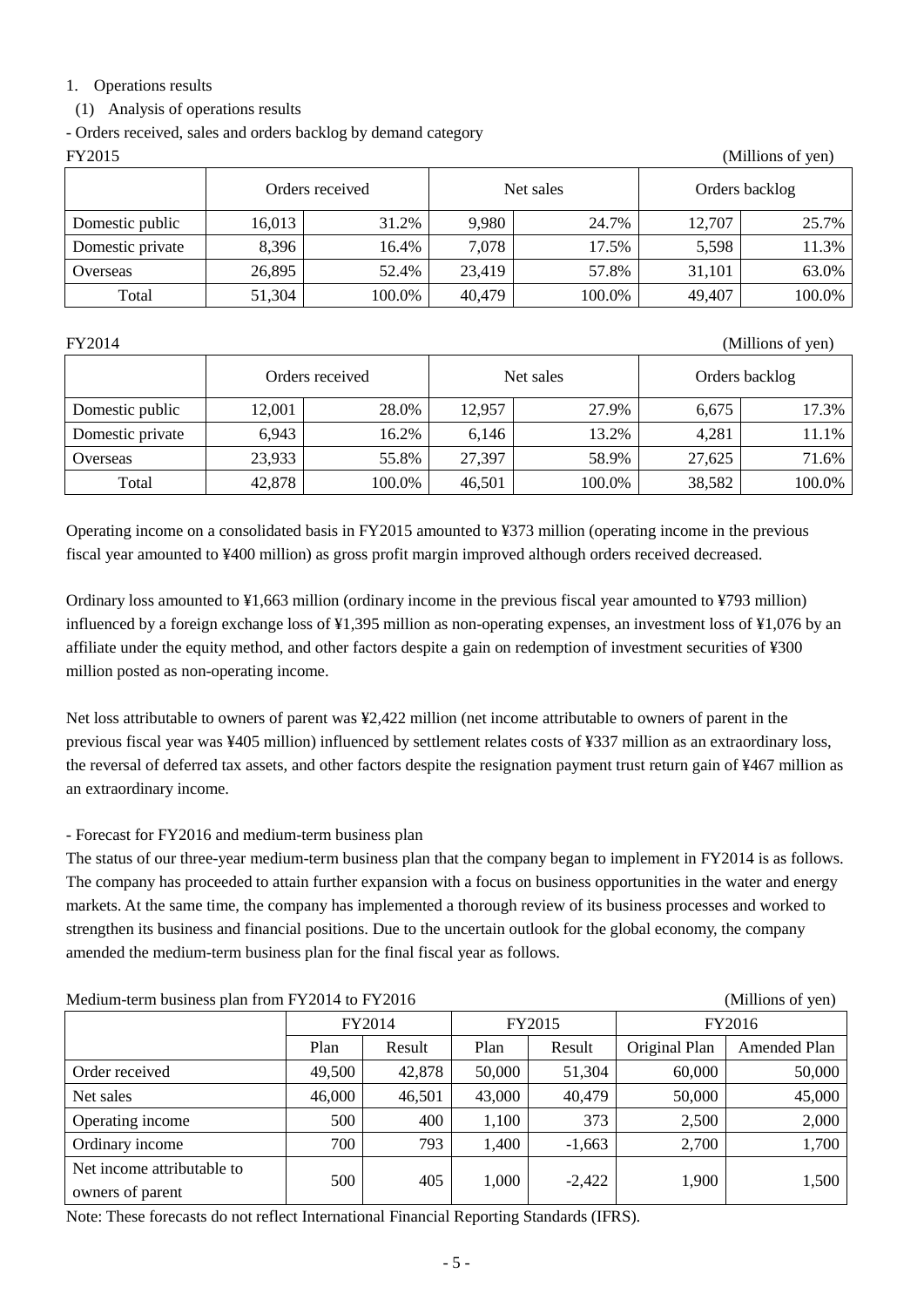#### 1. Operations results

#### (1) Analysis of operations results

- Orders received, sales and orders backlog by demand category

| FY2015<br>(Millions of yen) |                 |        |        |           |                |        |  |  |  |  |
|-----------------------------|-----------------|--------|--------|-----------|----------------|--------|--|--|--|--|
|                             | Orders received |        |        | Net sales | Orders backlog |        |  |  |  |  |
| Domestic public             | 16,013          | 31.2%  | 9,980  | 24.7%     | 12,707         | 25.7%  |  |  |  |  |
| Domestic private            | 8,396           | 16.4%  | 7,078  | 17.5%     | 5,598          | 11.3%  |  |  |  |  |
| Overseas                    | 26,895          | 52.4%  | 23,419 | 57.8%     | 31,101         | 63.0%  |  |  |  |  |
| Total                       | 51,304          | 100.0% | 40,479 | 100.0%    | 49,407         | 100.0% |  |  |  |  |

FY2014 (Millions of yen)

|                  | Orders received |        |        | Net sales | Orders backlog |        |
|------------------|-----------------|--------|--------|-----------|----------------|--------|
| Domestic public  | 12,001          | 28.0%  | 12,957 | 27.9%     | 6,675          | 17.3%  |
| Domestic private | 6,943           | 16.2%  | 6,146  | 13.2%     | 4,281          | 11.1%  |
| Overseas         | 23,933          | 55.8%  | 27,397 | 58.9%     | 27,625         | 71.6%  |
| Total            | 42,878          | 100.0% | 46,501 | 100.0%    | 38,582         | 100.0% |

Operating income on a consolidated basis in FY2015 amounted to ¥373 million (operating income in the previous fiscal year amounted to ¥400 million) as gross profit margin improved although orders received decreased.

Ordinary loss amounted to ¥1,663 million (ordinary income in the previous fiscal year amounted to ¥793 million) influenced by a foreign exchange loss of ¥1,395 million as non-operating expenses, an investment loss of ¥1,076 by an affiliate under the equity method, and other factors despite a gain on redemption of investment securities of ¥300 million posted as non-operating income.

Net loss attributable to owners of parent was ¥2,422 million (net income attributable to owners of parent in the previous fiscal year was ¥405 million) influenced by settlement relates costs of ¥337 million as an extraordinary loss, the reversal of deferred tax assets, and other factors despite the resignation payment trust return gain of ¥467 million as an extraordinary income.

### - Forecast for FY2016 and medium-term business plan

The status of our three-year medium-term business plan that the company began to implement in FY2014 is as follows. The company has proceeded to attain further expansion with a focus on business opportunities in the water and energy markets. At the same time, the company has implemented a thorough review of its business processes and worked to strengthen its business and financial positions. Due to the uncertain outlook for the global economy, the company amended the medium-term business plan for the final fiscal year as follows.

| Medium-term business plan from FY2014 to FY2016<br>(Millions of yen) |        |        |        |          |               |              |  |
|----------------------------------------------------------------------|--------|--------|--------|----------|---------------|--------------|--|
|                                                                      | FY2014 |        |        | FY2015   | FY2016        |              |  |
|                                                                      | Plan   | Result | Plan   | Result   | Original Plan | Amended Plan |  |
| Order received                                                       | 49,500 | 42,878 | 50,000 | 51,304   | 60,000        | 50,000       |  |
| Net sales                                                            | 46,000 | 46,501 | 43,000 | 40,479   | 50,000        | 45,000       |  |
| Operating income                                                     | 500    | 400    | 1,100  | 373      | 2,500         | 2,000        |  |
| Ordinary income                                                      | 700    | 793    | 1,400  | $-1,663$ | 2,700         | 1,700        |  |
| Net income attributable to<br>owners of parent                       | 500    | 405    | 1,000  | $-2,422$ | 1,900         | 1,500        |  |

Note: These forecasts do not reflect International Financial Reporting Standards (IFRS).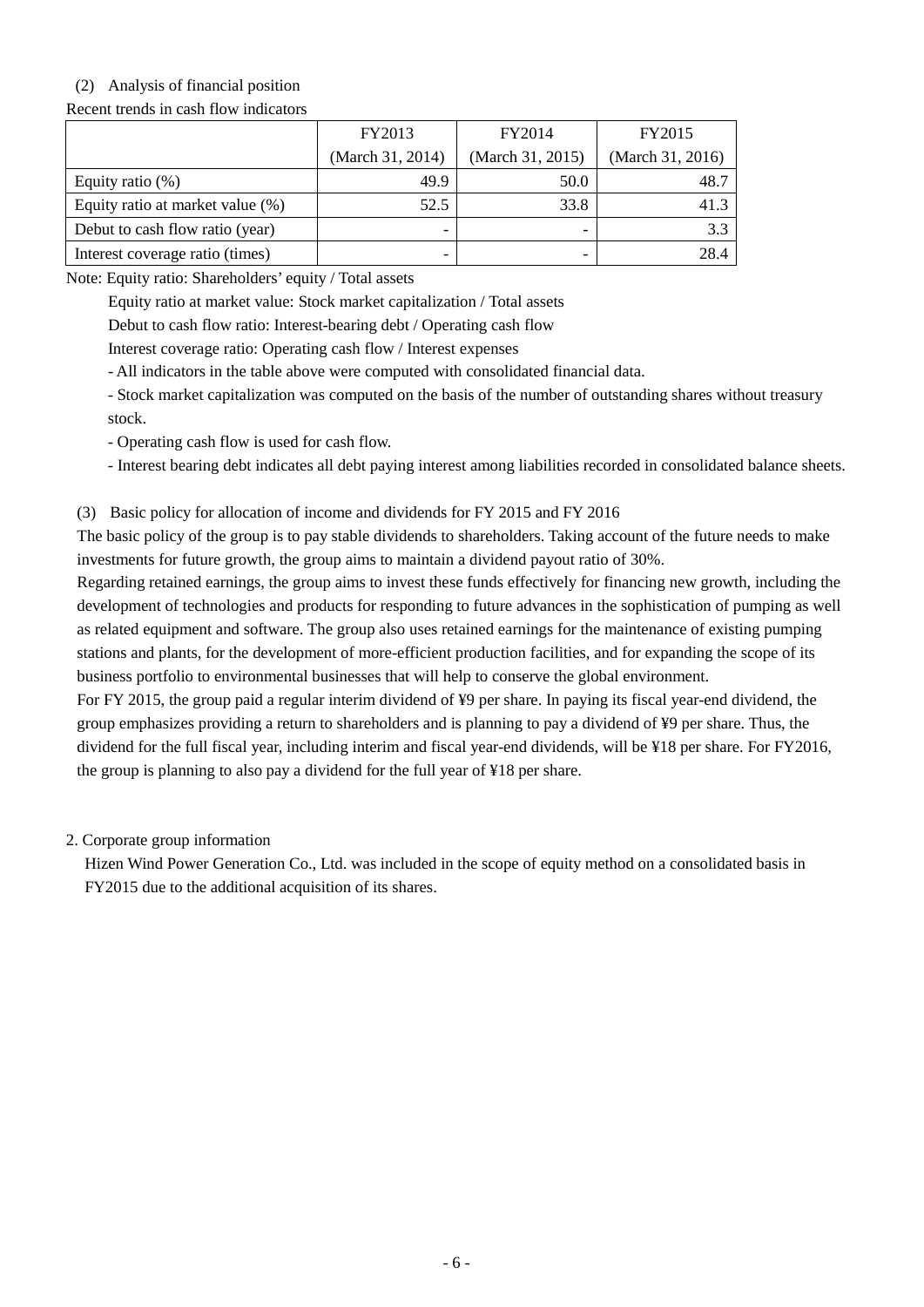## (2) Analysis of financial position

Recent trends in cash flow indicators

|                                  | FY2013                   | FY2014           | FY2015           |
|----------------------------------|--------------------------|------------------|------------------|
|                                  | (March 31, 2014)         | (March 31, 2015) | (March 31, 2016) |
| Equity ratio $(\%)$              | 49.9                     | 50.0             | 48.7             |
| Equity ratio at market value (%) | 52.5                     | 33.8             | 41.3             |
| Debut to cash flow ratio (year)  | $\overline{\phantom{0}}$ |                  | 3.3              |
| Interest coverage ratio (times)  | $\overline{\phantom{0}}$ |                  | 28.4             |

Note: Equity ratio: Shareholders' equity / Total assets

Equity ratio at market value: Stock market capitalization / Total assets

Debut to cash flow ratio: Interest-bearing debt / Operating cash flow

Interest coverage ratio: Operating cash flow / Interest expenses

- All indicators in the table above were computed with consolidated financial data.

- Stock market capitalization was computed on the basis of the number of outstanding shares without treasury stock.

- Operating cash flow is used for cash flow.

- Interest bearing debt indicates all debt paying interest among liabilities recorded in consolidated balance sheets.

(3) Basic policy for allocation of income and dividends for FY 2015 and FY 2016

The basic policy of the group is to pay stable dividends to shareholders. Taking account of the future needs to make investments for future growth, the group aims to maintain a dividend payout ratio of 30%.

Regarding retained earnings, the group aims to invest these funds effectively for financing new growth, including the development of technologies and products for responding to future advances in the sophistication of pumping as well as related equipment and software. The group also uses retained earnings for the maintenance of existing pumping stations and plants, for the development of more-efficient production facilities, and for expanding the scope of its business portfolio to environmental businesses that will help to conserve the global environment.

For FY 2015, the group paid a regular interim dividend of ¥9 per share. In paying its fiscal year-end dividend, the group emphasizes providing a return to shareholders and is planning to pay a dividend of ¥9 per share. Thus, the dividend for the full fiscal year, including interim and fiscal year-end dividends, will be ¥18 per share. For FY2016, the group is planning to also pay a dividend for the full year of ¥18 per share.

2. Corporate group information

Hizen Wind Power Generation Co., Ltd. was included in the scope of equity method on a consolidated basis in FY2015 due to the additional acquisition of its shares.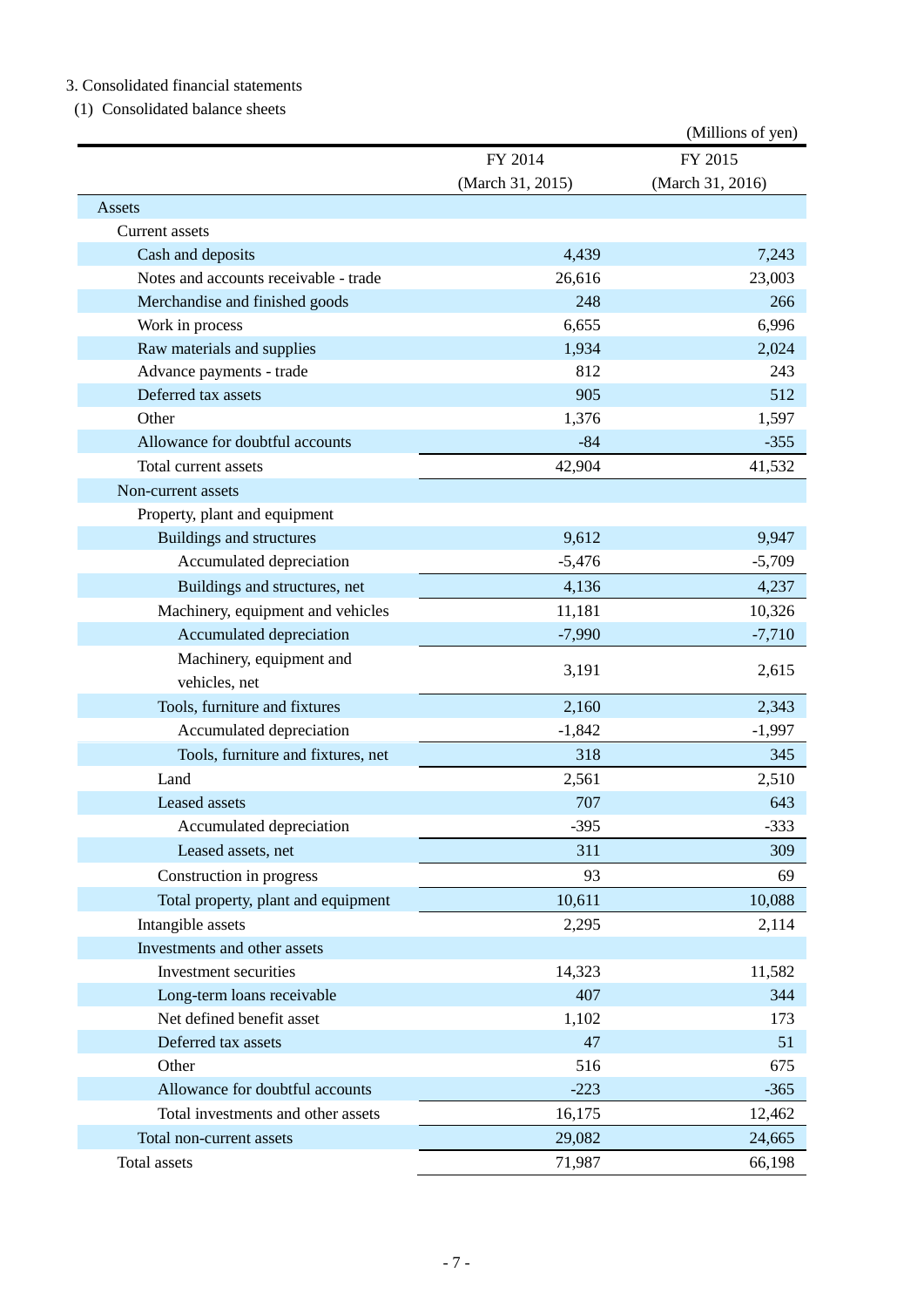### 3. Consolidated financial statements

(1) Consolidated balance sheets

|                                       |                  | (Millions of yen) |
|---------------------------------------|------------------|-------------------|
|                                       | FY 2014          | FY 2015           |
|                                       | (March 31, 2015) | (March 31, 2016)  |
| Assets                                |                  |                   |
| Current assets                        |                  |                   |
| Cash and deposits                     | 4,439            | 7,243             |
| Notes and accounts receivable - trade | 26,616           | 23,003            |
| Merchandise and finished goods        | 248              | 266               |
| Work in process                       | 6,655            | 6,996             |
| Raw materials and supplies            | 1,934            | 2,024             |
| Advance payments - trade              | 812              | 243               |
| Deferred tax assets                   | 905              | 512               |
| Other                                 | 1,376            | 1,597             |
| Allowance for doubtful accounts       | $-84$            | $-355$            |
| Total current assets                  | 42,904           | 41,532            |
| Non-current assets                    |                  |                   |
| Property, plant and equipment         |                  |                   |
| <b>Buildings and structures</b>       | 9,612            | 9,947             |
| Accumulated depreciation              | $-5,476$         | $-5,709$          |
| Buildings and structures, net         | 4,136            | 4,237             |
| Machinery, equipment and vehicles     | 11,181           | 10,326            |
| Accumulated depreciation              | $-7,990$         | $-7,710$          |
| Machinery, equipment and              |                  |                   |
| vehicles, net                         | 3,191            | 2,615             |
| Tools, furniture and fixtures         | 2,160            | 2,343             |
| Accumulated depreciation              | $-1,842$         | $-1,997$          |
| Tools, furniture and fixtures, net    | 318              | 345               |
| Land                                  | 2,561            | 2,510             |
| Leased assets                         | 707              | 643               |
| Accumulated depreciation              | $-395$           | $-333$            |
| Leased assets, net                    | 311              | 309               |
| Construction in progress              | 93               | 69                |
| Total property, plant and equipment   | 10,611           | 10,088            |
| Intangible assets                     | 2,295            | 2,114             |
| Investments and other assets          |                  |                   |
| Investment securities                 | 14,323           | 11,582            |
| Long-term loans receivable            | 407              | 344               |
| Net defined benefit asset             | 1,102            | 173               |
| Deferred tax assets                   | 47               | 51                |
| Other                                 | 516              | 675               |
| Allowance for doubtful accounts       | $-223$           | $-365$            |
| Total investments and other assets    | 16,175           | 12,462            |
| Total non-current assets              | 29,082           | 24,665            |
| Total assets                          | 71,987           | 66,198            |
|                                       |                  |                   |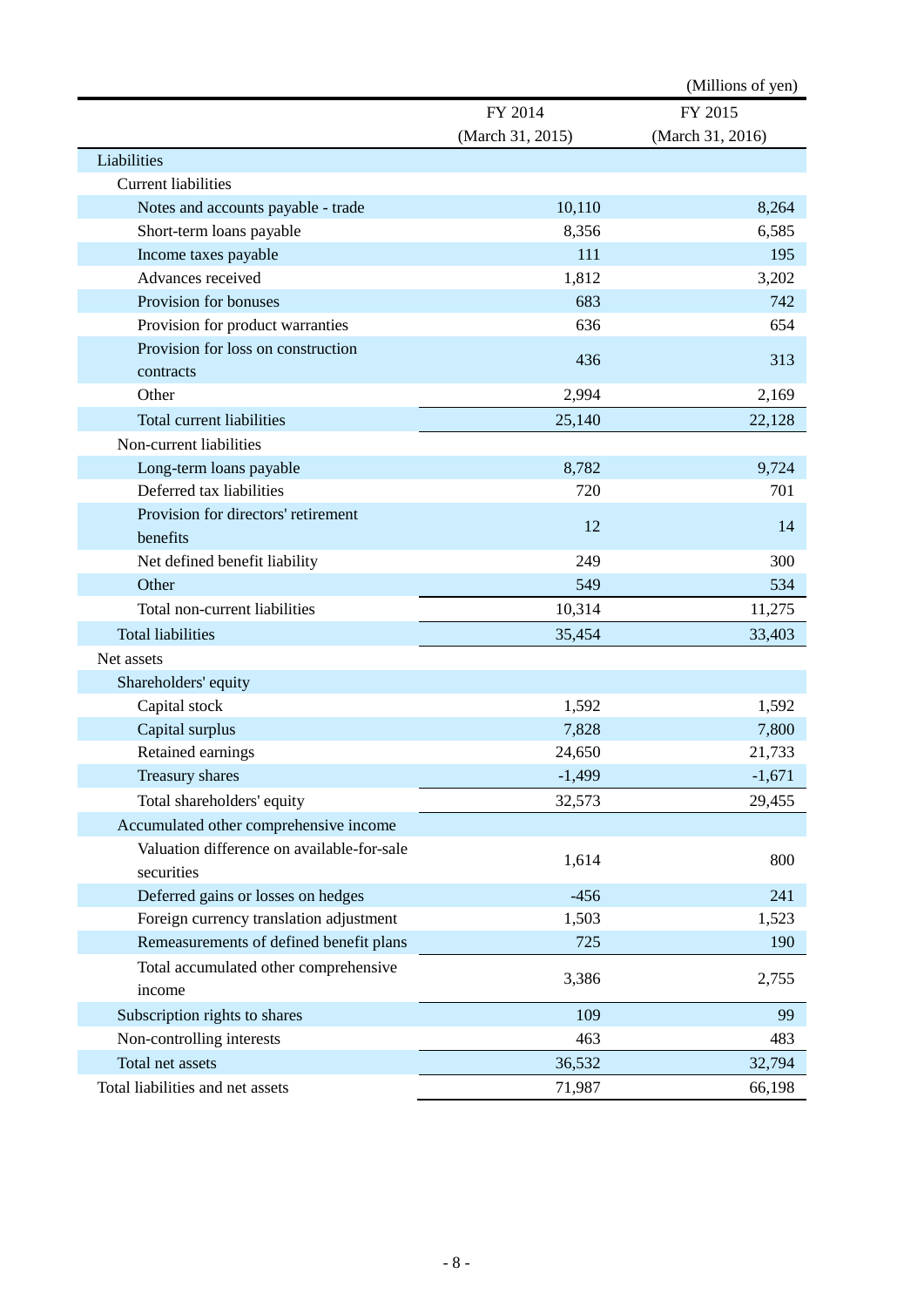|                                            |                  | (Millions of yen) |
|--------------------------------------------|------------------|-------------------|
|                                            | FY 2014          | FY 2015           |
|                                            | (March 31, 2015) | (March 31, 2016)  |
| Liabilities                                |                  |                   |
| <b>Current liabilities</b>                 |                  |                   |
| Notes and accounts payable - trade         | 10,110           | 8,264             |
| Short-term loans payable                   | 8,356            | 6,585             |
| Income taxes payable                       | 111              | 195               |
| Advances received                          | 1,812            | 3,202             |
| Provision for bonuses                      | 683              | 742               |
| Provision for product warranties           | 636              | 654               |
| Provision for loss on construction         | 436              | 313               |
| contracts                                  |                  |                   |
| Other                                      | 2,994            | 2,169             |
| Total current liabilities                  | 25,140           | 22,128            |
| Non-current liabilities                    |                  |                   |
| Long-term loans payable                    | 8,782            | 9,724             |
| Deferred tax liabilities                   | 720              | 701               |
| Provision for directors' retirement        |                  |                   |
| benefits                                   | 12               | 14                |
| Net defined benefit liability              | 249              | 300               |
| Other                                      | 549              | 534               |
| Total non-current liabilities              | 10,314           | 11,275            |
| <b>Total liabilities</b>                   | 35,454           | 33,403            |
| Net assets                                 |                  |                   |
| Shareholders' equity                       |                  |                   |
| Capital stock                              | 1,592            | 1,592             |
| Capital surplus                            | 7,828            | 7,800             |
| Retained earnings                          | 24,650           | 21,733            |
| Treasury shares                            | $-1,499$         | $-1,671$          |
| Total shareholders' equity                 | 32,573           | 29,455            |
| Accumulated other comprehensive income     |                  |                   |
| Valuation difference on available-for-sale |                  |                   |
| securities                                 | 1,614            | 800               |
| Deferred gains or losses on hedges         | $-456$           | 241               |
| Foreign currency translation adjustment    | 1,503            | 1,523             |
| Remeasurements of defined benefit plans    | 725              | 190               |
| Total accumulated other comprehensive      |                  |                   |
| income                                     | 3,386            | 2,755             |
| Subscription rights to shares              | 109              | 99                |
| Non-controlling interests                  | 463              | 483               |
| Total net assets                           | 36,532           | 32,794            |
| Total liabilities and net assets           | 71,987           | 66,198            |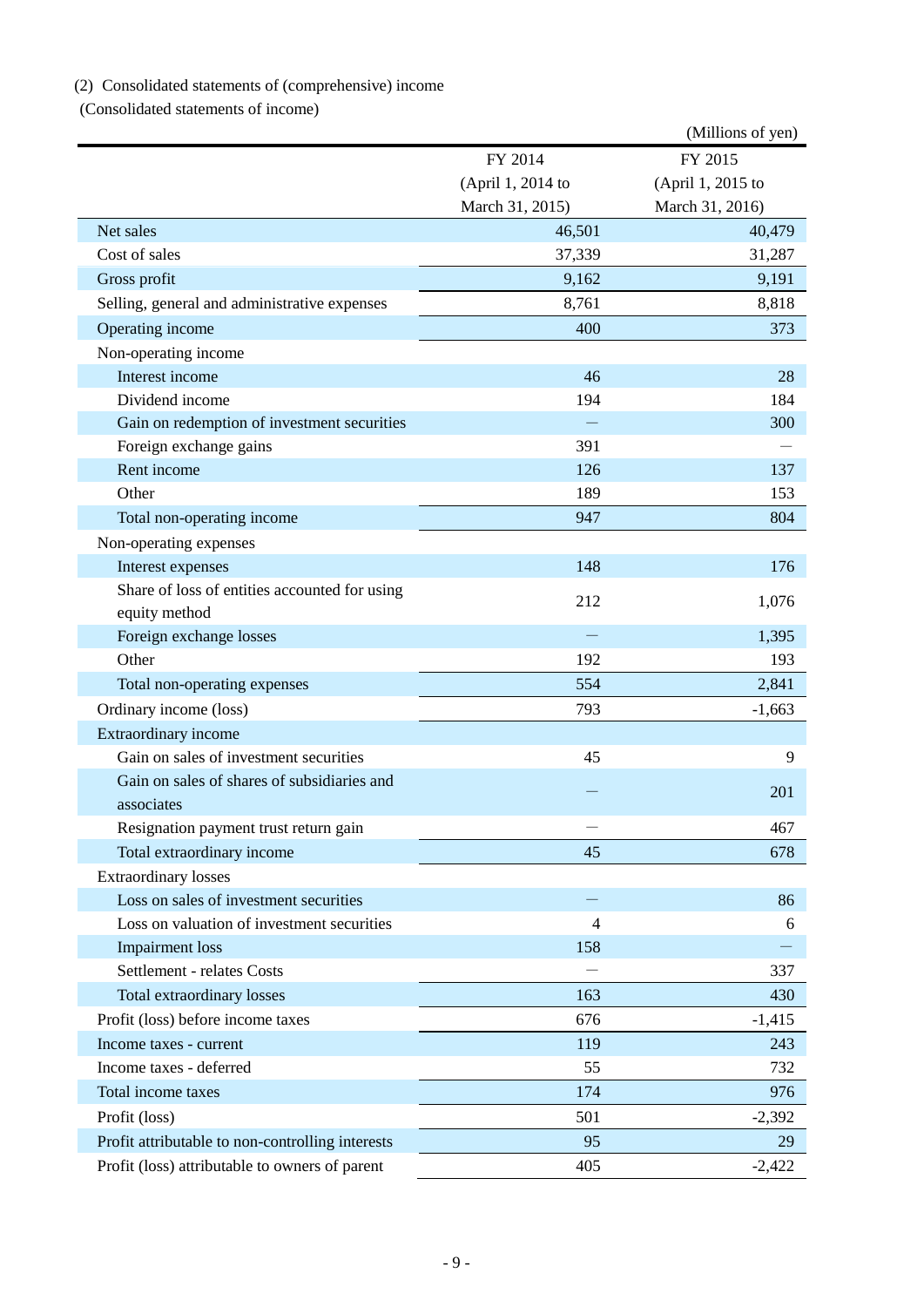# (2) Consolidated statements of (comprehensive) income

(Consolidated statements of income)

|                                                  |                   | (Millions of yen) |
|--------------------------------------------------|-------------------|-------------------|
|                                                  | FY 2014           | FY 2015           |
|                                                  | (April 1, 2014 to | (April 1, 2015 to |
|                                                  | March 31, 2015)   | March 31, 2016)   |
| Net sales                                        | 46,501            | 40,479            |
| Cost of sales                                    | 37,339            | 31,287            |
| Gross profit                                     | 9,162             | 9,191             |
| Selling, general and administrative expenses     | 8,761             | 8,818             |
| Operating income                                 | 400               | 373               |
| Non-operating income                             |                   |                   |
| Interest income                                  | 46                | 28                |
| Dividend income                                  | 194               | 184               |
| Gain on redemption of investment securities      | $\equiv$          | 300               |
| Foreign exchange gains                           | 391               |                   |
| Rent income                                      | 126               | 137               |
| Other                                            | 189               | 153               |
| Total non-operating income                       | 947               | 804               |
| Non-operating expenses                           |                   |                   |
| Interest expenses                                | 148               | 176               |
| Share of loss of entities accounted for using    | 212               | 1,076             |
| equity method                                    |                   |                   |
| Foreign exchange losses                          |                   | 1,395             |
| Other                                            | 192               | 193               |
| Total non-operating expenses                     | 554               | 2,841             |
| Ordinary income (loss)                           | 793               | $-1,663$          |
| Extraordinary income                             |                   |                   |
| Gain on sales of investment securities           | 45                | 9                 |
| Gain on sales of shares of subsidiaries and      |                   | 201               |
| associates                                       |                   |                   |
| Resignation payment trust return gain            |                   | 467               |
| Total extraordinary income                       | 45                | 678               |
| <b>Extraordinary losses</b>                      |                   |                   |
| Loss on sales of investment securities           |                   | 86                |
| Loss on valuation of investment securities       | $\overline{4}$    | 6                 |
| <b>Impairment</b> loss                           | 158               |                   |
| Settlement - relates Costs                       |                   | 337               |
| Total extraordinary losses                       | 163               | 430               |
| Profit (loss) before income taxes                | 676               | $-1,415$          |
| Income taxes - current                           | 119               | 243               |
| Income taxes - deferred                          | 55                | 732               |
| Total income taxes                               | 174               | 976               |
| Profit (loss)                                    | 501               | $-2,392$          |
| Profit attributable to non-controlling interests | 95                | 29                |
| Profit (loss) attributable to owners of parent   | 405               | $-2,422$          |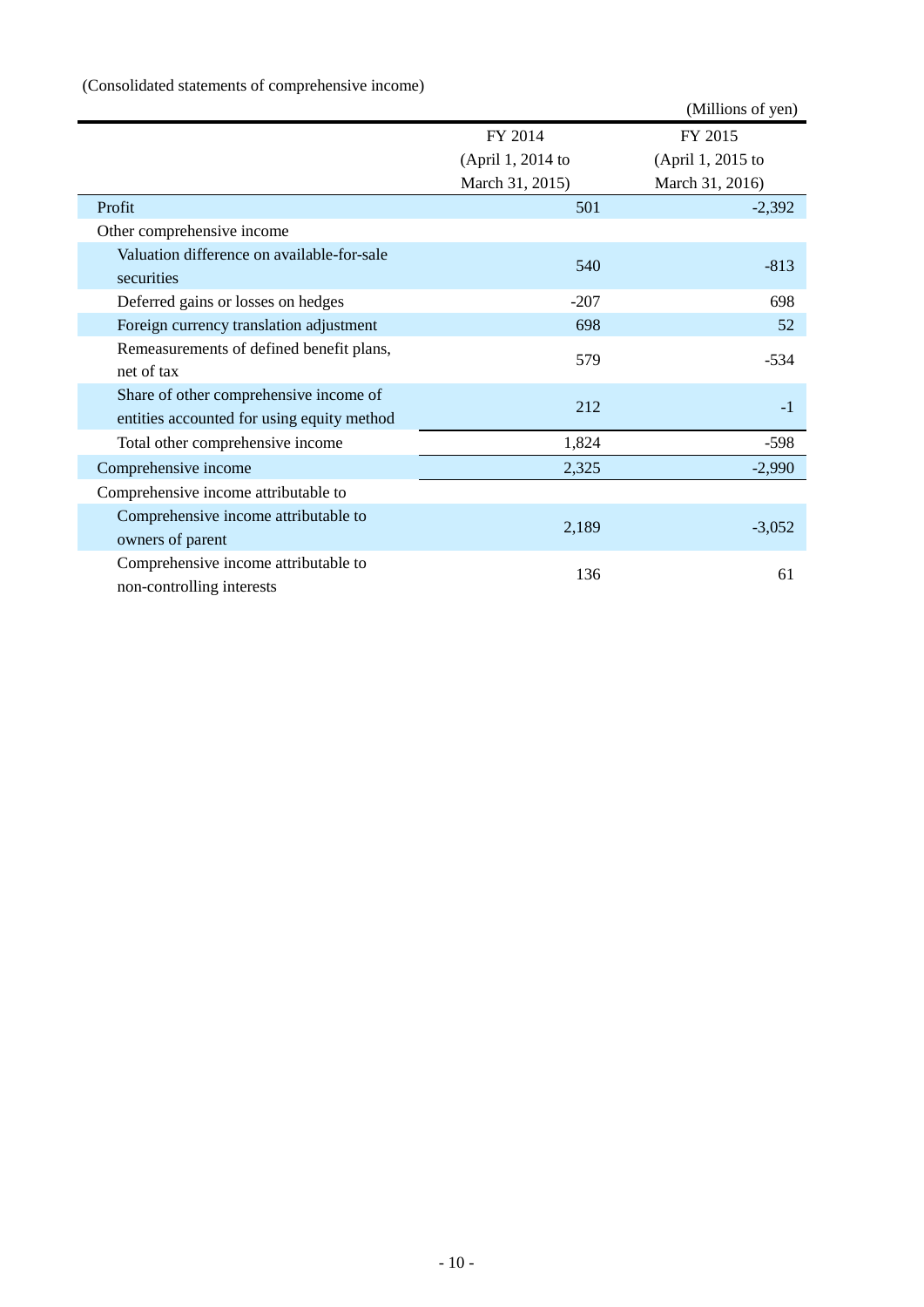# (Consolidated statements of comprehensive income)

|                                            |                   | (Millions of yen) |
|--------------------------------------------|-------------------|-------------------|
|                                            | FY 2014           | FY 2015           |
|                                            | (April 1, 2014 to | (April 1, 2015 to |
|                                            | March 31, 2015)   | March 31, 2016)   |
| Profit                                     | 501               | $-2,392$          |
| Other comprehensive income                 |                   |                   |
| Valuation difference on available-for-sale | 540               | $-813$            |
| securities                                 |                   |                   |
| Deferred gains or losses on hedges         | $-207$            | 698               |
| Foreign currency translation adjustment    | 698               | 52                |
| Remeasurements of defined benefit plans,   | 579               | $-534$            |
| net of tax                                 |                   |                   |
| Share of other comprehensive income of     | 212               | $-1$              |
| entities accounted for using equity method |                   |                   |
| Total other comprehensive income           | 1,824             | $-598$            |
| Comprehensive income                       | 2,325             | $-2,990$          |
| Comprehensive income attributable to       |                   |                   |
| Comprehensive income attributable to       |                   |                   |
| owners of parent                           | 2,189             | $-3,052$          |
| Comprehensive income attributable to       |                   |                   |
| non-controlling interests                  | 136               | 61                |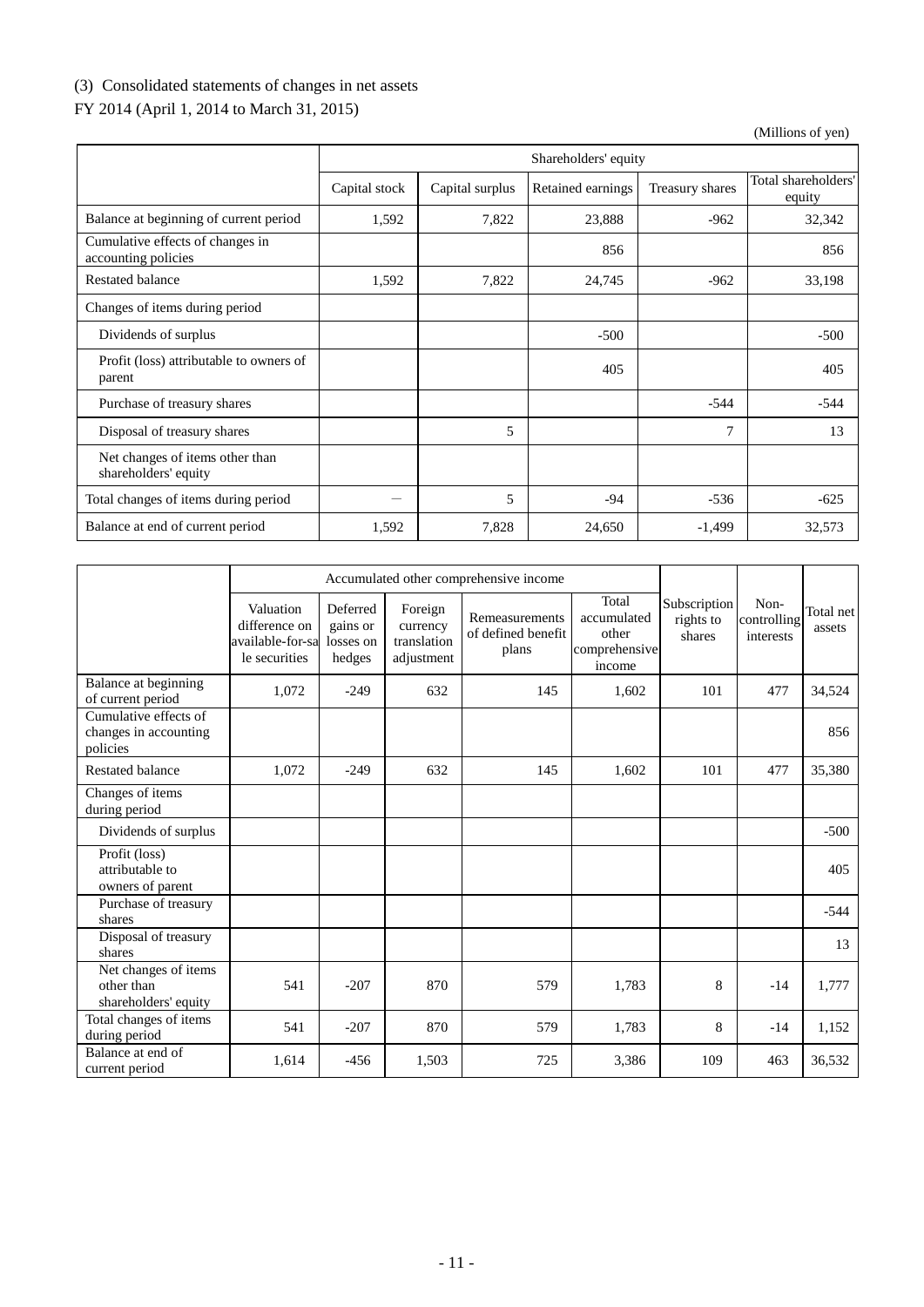# (3) Consolidated statements of changes in net assets

# FY 2014 (April 1, 2014 to March 31, 2015)

|                                                         | Shareholders' equity |                 |                   |                 |                               |  |  |
|---------------------------------------------------------|----------------------|-----------------|-------------------|-----------------|-------------------------------|--|--|
|                                                         | Capital stock        | Capital surplus | Retained earnings | Treasury shares | Total shareholders'<br>equity |  |  |
| Balance at beginning of current period                  | 1,592                | 7,822           | 23,888            | $-962$          | 32,342                        |  |  |
| Cumulative effects of changes in<br>accounting policies |                      |                 | 856               |                 | 856                           |  |  |
| Restated balance                                        | 1,592                | 7,822           | 24,745            | $-962$          | 33,198                        |  |  |
| Changes of items during period                          |                      |                 |                   |                 |                               |  |  |
| Dividends of surplus                                    |                      |                 | $-500$            |                 | $-500$                        |  |  |
| Profit (loss) attributable to owners of<br>parent       |                      |                 | 405               |                 | 405                           |  |  |
| Purchase of treasury shares                             |                      |                 |                   | $-544$          | $-544$                        |  |  |
| Disposal of treasury shares                             |                      | 5               |                   | $\overline{7}$  | 13                            |  |  |
| Net changes of items other than<br>shareholders' equity |                      |                 |                   |                 |                               |  |  |
| Total changes of items during period                    |                      | 5               | -94               | $-536$          | $-625$                        |  |  |
| Balance at end of current period                        | 1,592                | 7,828           | 24,650            | $-1,499$        | 32,573                        |  |  |

|                                                            | Accumulated other comprehensive income                          |                                             |                                                  |                                               |                                                          |                                     |                                  |                     |
|------------------------------------------------------------|-----------------------------------------------------------------|---------------------------------------------|--------------------------------------------------|-----------------------------------------------|----------------------------------------------------------|-------------------------------------|----------------------------------|---------------------|
|                                                            | Valuation<br>difference on<br>available-for-sa<br>le securities | Deferred<br>gains or<br>losses on<br>hedges | Foreign<br>currency<br>translation<br>adjustment | Remeasurements<br>of defined benefit<br>plans | Total<br>accumulated<br>other<br>comprehensive<br>income | Subscription<br>rights to<br>shares | Non-<br>controlling<br>interests | Total net<br>assets |
| Balance at beginning<br>of current period                  | 1,072                                                           | $-249$                                      | 632                                              | 145                                           | 1,602                                                    | 101                                 | 477                              | 34,524              |
| Cumulative effects of<br>changes in accounting<br>policies |                                                                 |                                             |                                                  |                                               |                                                          |                                     |                                  | 856                 |
| <b>Restated balance</b>                                    | 1,072                                                           | $-249$                                      | 632                                              | 145                                           | 1,602                                                    | 101                                 | 477                              | 35,380              |
| Changes of items<br>during period                          |                                                                 |                                             |                                                  |                                               |                                                          |                                     |                                  |                     |
| Dividends of surplus                                       |                                                                 |                                             |                                                  |                                               |                                                          |                                     |                                  | $-500$              |
| Profit (loss)<br>attributable to<br>owners of parent       |                                                                 |                                             |                                                  |                                               |                                                          |                                     |                                  | 405                 |
| Purchase of treasury<br>shares                             |                                                                 |                                             |                                                  |                                               |                                                          |                                     |                                  | $-544$              |
| Disposal of treasury<br>shares                             |                                                                 |                                             |                                                  |                                               |                                                          |                                     |                                  | 13                  |
| Net changes of items<br>other than<br>shareholders' equity | 541                                                             | $-207$                                      | 870                                              | 579                                           | 1,783                                                    | 8                                   | $-14$                            | 1,777               |
| Total changes of items<br>during period                    | 541                                                             | $-207$                                      | 870                                              | 579                                           | 1,783                                                    | 8                                   | $-14$                            | 1,152               |
| Balance at end of<br>current period                        | 1,614                                                           | $-456$                                      | 1,503                                            | 725                                           | 3,386                                                    | 109                                 | 463                              | 36,532              |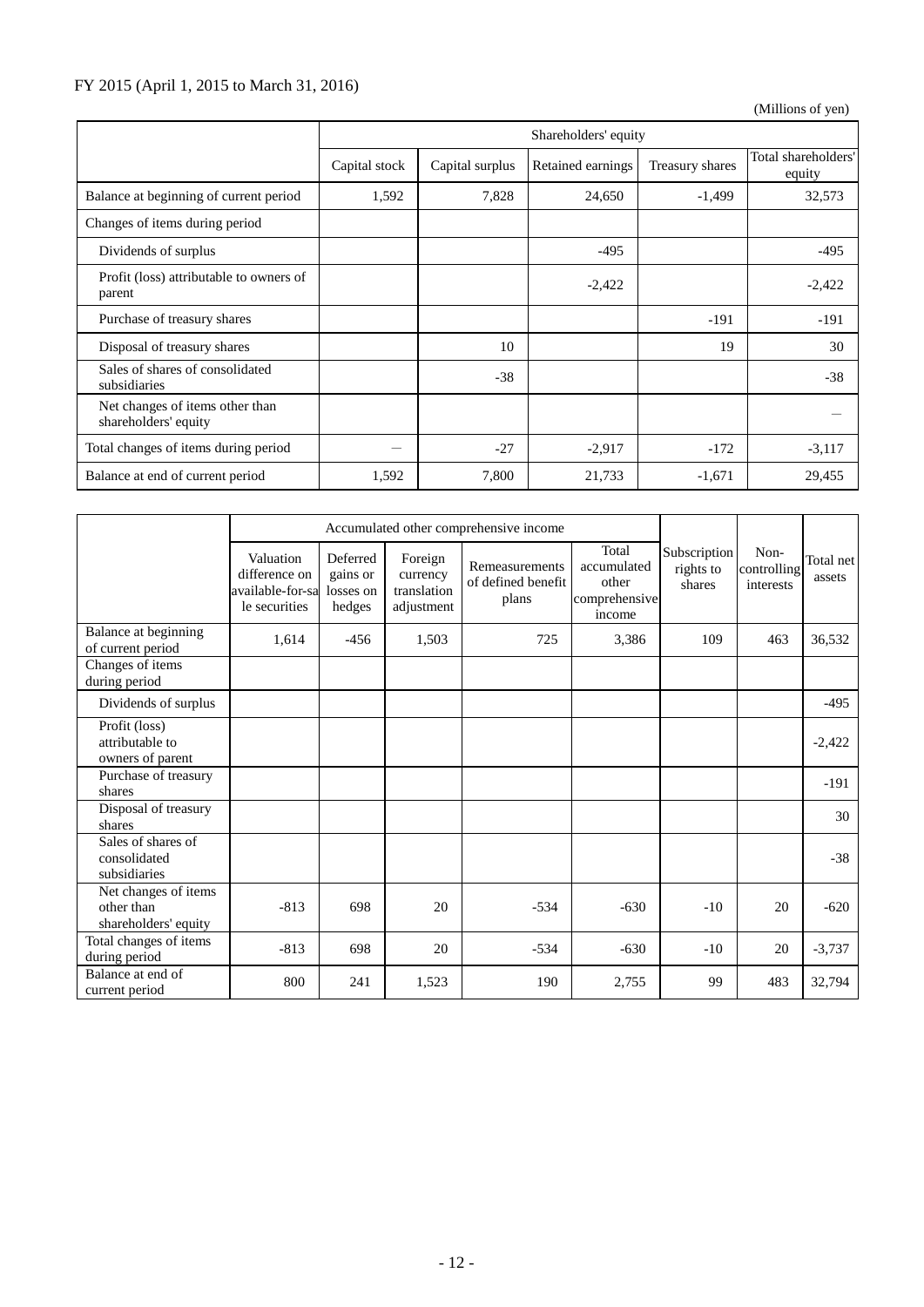## FY 2015 (April 1, 2015 to March 31, 2016)

|                                                         | Shareholders' equity |                 |                   |                 |                               |  |  |  |
|---------------------------------------------------------|----------------------|-----------------|-------------------|-----------------|-------------------------------|--|--|--|
|                                                         | Capital stock        | Capital surplus | Retained earnings | Treasury shares | Total shareholders'<br>equity |  |  |  |
| Balance at beginning of current period                  | 1,592                | 7,828           | 24,650            | $-1,499$        | 32,573                        |  |  |  |
| Changes of items during period                          |                      |                 |                   |                 |                               |  |  |  |
| Dividends of surplus                                    |                      |                 | $-495$            |                 | $-495$                        |  |  |  |
| Profit (loss) attributable to owners of<br>parent       |                      |                 | $-2,422$          |                 | $-2,422$                      |  |  |  |
| Purchase of treasury shares                             |                      |                 |                   | $-191$          | $-191$                        |  |  |  |
| Disposal of treasury shares                             |                      | 10              |                   | 19              | 30                            |  |  |  |
| Sales of shares of consolidated<br>subsidiaries         |                      | $-38$           |                   |                 | $-38$                         |  |  |  |
| Net changes of items other than<br>shareholders' equity |                      |                 |                   |                 |                               |  |  |  |
| Total changes of items during period                    | –                    | $-27$           | $-2,917$          | $-172$          | $-3,117$                      |  |  |  |
| Balance at end of current period                        | 1,592                | 7,800           | 21,733            | $-1,671$        | 29,455                        |  |  |  |

|                                                            | Accumulated other comprehensive income                          |                                             |                                                  |                                               |                                                          |                                     |                                  |                     |
|------------------------------------------------------------|-----------------------------------------------------------------|---------------------------------------------|--------------------------------------------------|-----------------------------------------------|----------------------------------------------------------|-------------------------------------|----------------------------------|---------------------|
|                                                            | Valuation<br>difference on<br>available-for-sa<br>le securities | Deferred<br>gains or<br>losses on<br>hedges | Foreign<br>currency<br>translation<br>adjustment | Remeasurements<br>of defined benefit<br>plans | Total<br>accumulated<br>other<br>comprehensive<br>income | Subscription<br>rights to<br>shares | Non-<br>controlling<br>interests | Total net<br>assets |
| Balance at beginning<br>of current period                  | 1,614                                                           | $-456$                                      | 1,503                                            | 725                                           | 3,386                                                    | 109                                 | 463                              | 36,532              |
| Changes of items<br>during period                          |                                                                 |                                             |                                                  |                                               |                                                          |                                     |                                  |                     |
| Dividends of surplus                                       |                                                                 |                                             |                                                  |                                               |                                                          |                                     |                                  | $-495$              |
| Profit (loss)<br>attributable to<br>owners of parent       |                                                                 |                                             |                                                  |                                               |                                                          |                                     |                                  | $-2,422$            |
| Purchase of treasury<br>shares                             |                                                                 |                                             |                                                  |                                               |                                                          |                                     |                                  | $-191$              |
| Disposal of treasury<br>shares                             |                                                                 |                                             |                                                  |                                               |                                                          |                                     |                                  | 30                  |
| Sales of shares of<br>consolidated<br>subsidiaries         |                                                                 |                                             |                                                  |                                               |                                                          |                                     |                                  | $-38$               |
| Net changes of items<br>other than<br>shareholders' equity | $-813$                                                          | 698                                         | 20                                               | $-534$                                        | $-630$                                                   | $-10$                               | 20                               | $-620$              |
| Total changes of items<br>during period                    | $-813$                                                          | 698                                         | 20                                               | $-534$                                        | $-630$                                                   | $-10$                               | 20                               | $-3,737$            |
| Balance at end of<br>current period                        | 800                                                             | 241                                         | 1,523                                            | 190                                           | 2,755                                                    | 99                                  | 483                              | 32,794              |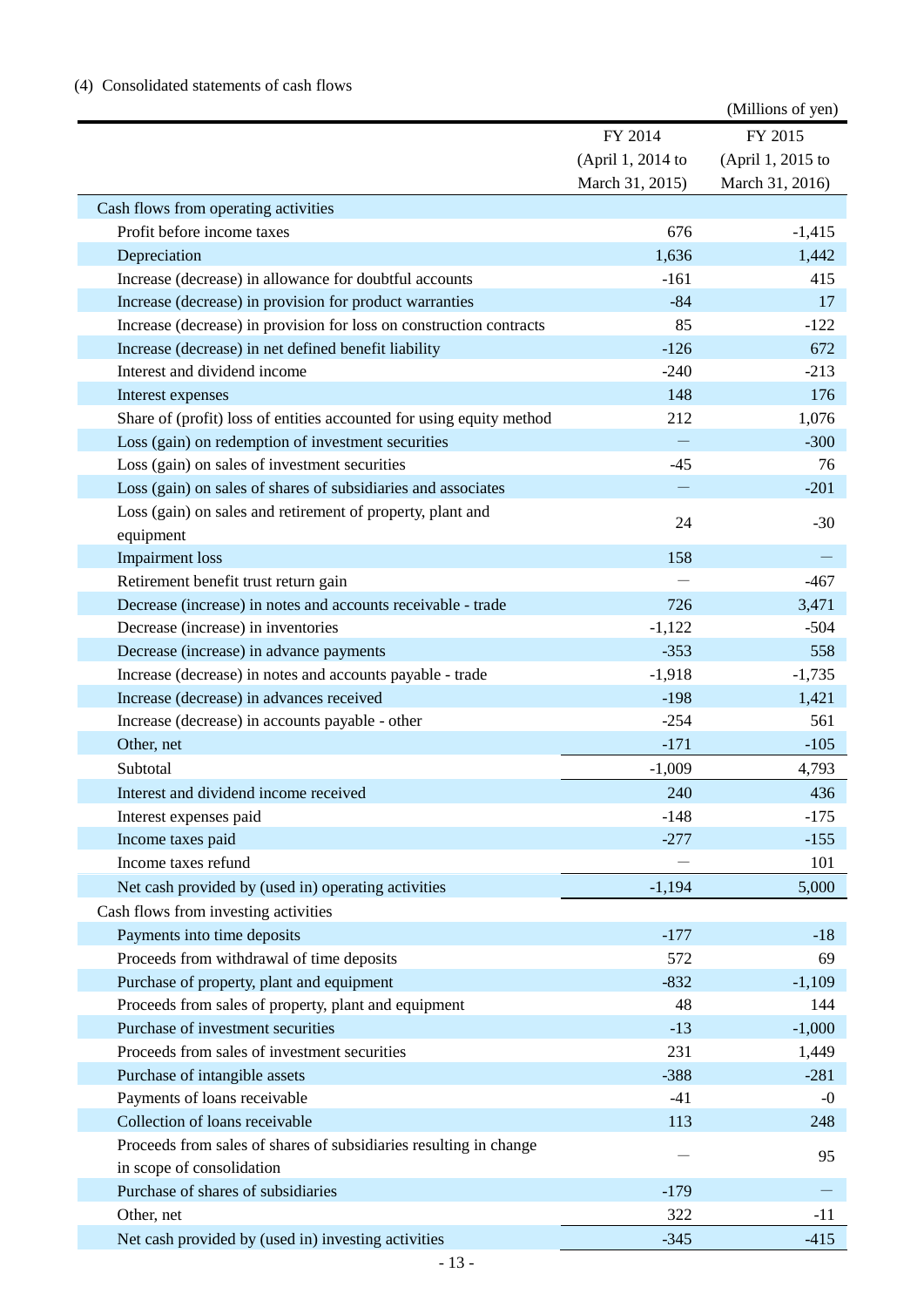|                                                                      |                   | (Millions of yen) |
|----------------------------------------------------------------------|-------------------|-------------------|
|                                                                      | FY 2014           | FY 2015           |
|                                                                      | (April 1, 2014 to | (April 1, 2015 to |
|                                                                      | March 31, 2015)   | March 31, 2016)   |
| Cash flows from operating activities                                 |                   |                   |
| Profit before income taxes                                           | 676               | $-1,415$          |
| Depreciation                                                         | 1,636             | 1,442             |
| Increase (decrease) in allowance for doubtful accounts               | $-161$            | 415               |
| Increase (decrease) in provision for product warranties              | $-84$             | 17                |
| Increase (decrease) in provision for loss on construction contracts  | 85                | $-122$            |
| Increase (decrease) in net defined benefit liability                 | $-126$            | 672               |
| Interest and dividend income                                         | $-240$            | $-213$            |
| Interest expenses                                                    | 148               | 176               |
| Share of (profit) loss of entities accounted for using equity method | 212               | 1,076             |
| Loss (gain) on redemption of investment securities                   |                   | $-300$            |
| Loss (gain) on sales of investment securities                        | $-45$             | 76                |
| Loss (gain) on sales of shares of subsidiaries and associates        |                   | $-201$            |
| Loss (gain) on sales and retirement of property, plant and           |                   |                   |
| equipment                                                            | 24                | $-30$             |
| <b>Impairment</b> loss                                               | 158               |                   |
| Retirement benefit trust return gain                                 |                   | $-467$            |
| Decrease (increase) in notes and accounts receivable - trade         | 726               | 3,471             |
| Decrease (increase) in inventories                                   | $-1,122$          | $-504$            |
| Decrease (increase) in advance payments                              | $-353$            | 558               |
| Increase (decrease) in notes and accounts payable - trade            | $-1,918$          | $-1,735$          |
| Increase (decrease) in advances received                             | $-198$            | 1,421             |
| Increase (decrease) in accounts payable - other                      | $-254$            | 561               |
| Other, net                                                           | $-171$            | $-105$            |
| Subtotal                                                             | $-1,009$          | 4,793             |
| Interest and dividend income received                                | 240               | 436               |
| Interest expenses paid                                               | $-148$            | $-175$            |
| Income taxes paid                                                    | $-277$            | $-155$            |
| Income taxes refund                                                  |                   | 101               |
| Net cash provided by (used in) operating activities                  | $-1,194$          | 5,000             |
| Cash flows from investing activities                                 |                   |                   |
| Payments into time deposits                                          | $-177$            | $-18$             |
| Proceeds from withdrawal of time deposits                            | 572               | 69                |
| Purchase of property, plant and equipment                            | $-832$            | $-1,109$          |
| Proceeds from sales of property, plant and equipment                 | 48                | 144               |
| Purchase of investment securities                                    | $-13$             | $-1,000$          |
| Proceeds from sales of investment securities                         | 231               | 1,449             |
| Purchase of intangible assets                                        | $-388$            | $-281$            |
| Payments of loans receivable                                         | $-41$             | $-0$              |
| Collection of loans receivable                                       | 113               | 248               |
| Proceeds from sales of shares of subsidiaries resulting in change    |                   |                   |
| in scope of consolidation                                            |                   | 95                |
| Purchase of shares of subsidiaries                                   | $-179$            |                   |
| Other, net                                                           | 322               | $-11$             |
| Net cash provided by (used in) investing activities                  | $-345$            | $-415$            |
|                                                                      |                   |                   |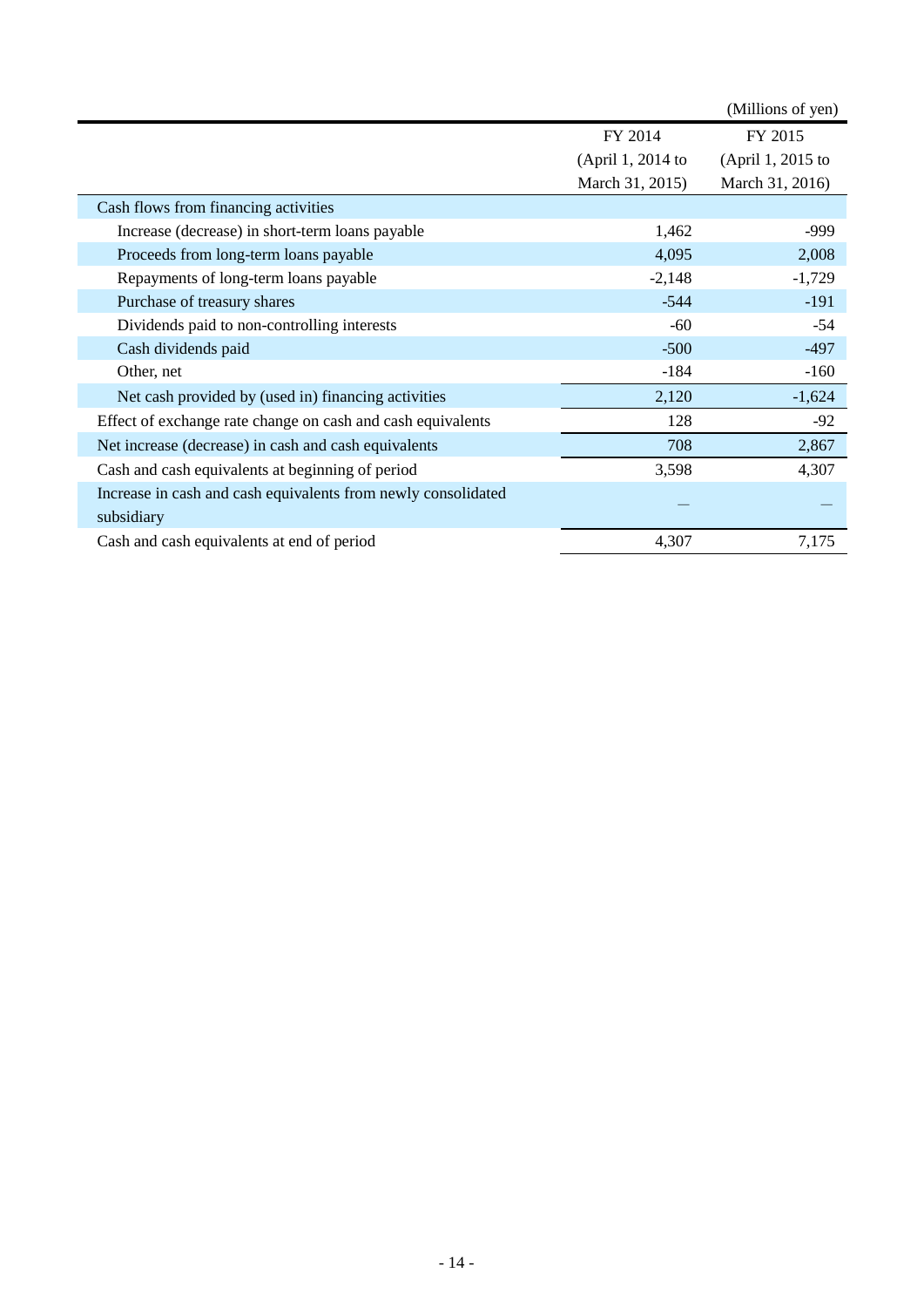|                                                               |                   | (Millions of yen) |
|---------------------------------------------------------------|-------------------|-------------------|
|                                                               | FY 2014           | FY 2015           |
|                                                               | (April 1, 2014 to | (April 1, 2015 to |
|                                                               | March 31, 2015)   | March 31, 2016)   |
| Cash flows from financing activities                          |                   |                   |
| Increase (decrease) in short-term loans payable               | 1,462             | -999              |
| Proceeds from long-term loans payable                         | 4,095             | 2,008             |
| Repayments of long-term loans payable                         | $-2,148$          | $-1,729$          |
| Purchase of treasury shares                                   | $-544$            | $-191$            |
| Dividends paid to non-controlling interests                   | $-60$             | $-54$             |
| Cash dividends paid                                           | $-500$            | $-497$            |
| Other, net                                                    | $-184$            | $-160$            |
| Net cash provided by (used in) financing activities           | 2,120             | $-1,624$          |
| Effect of exchange rate change on cash and cash equivalents   | 128               | $-92$             |
| Net increase (decrease) in cash and cash equivalents          | 708               | 2,867             |
| Cash and cash equivalents at beginning of period              | 3,598             | 4,307             |
| Increase in cash and cash equivalents from newly consolidated |                   |                   |
| subsidiary                                                    |                   |                   |
| Cash and cash equivalents at end of period                    | 4,307             | 7,175             |
|                                                               |                   |                   |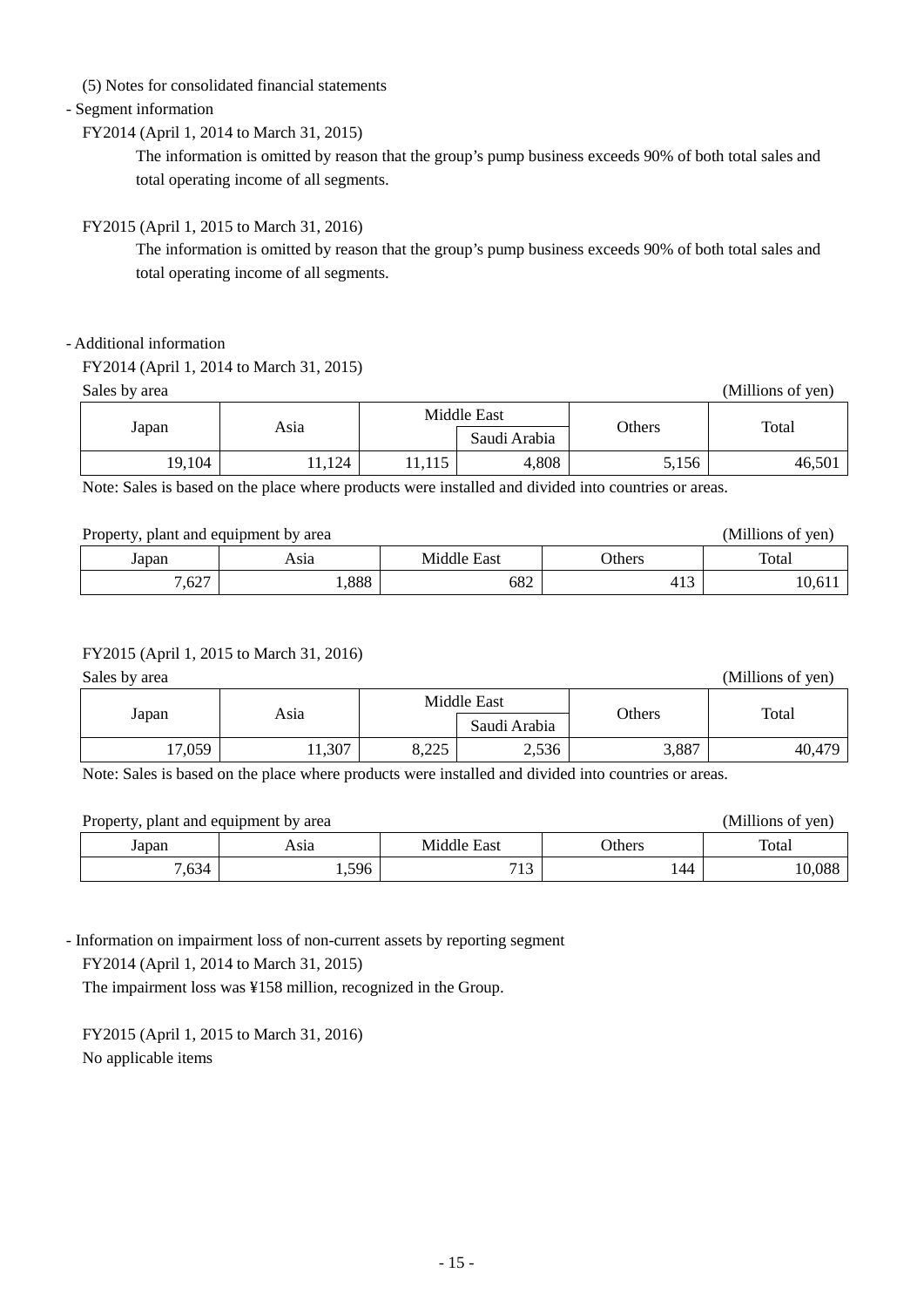(5) Notes for consolidated financial statements

#### - Segment information

#### FY2014 (April 1, 2014 to March 31, 2015)

The information is omitted by reason that the group's pump business exceeds 90% of both total sales and total operating income of all segments.

#### FY2015 (April 1, 2015 to March 31, 2016)

The information is omitted by reason that the group's pump business exceeds 90% of both total sales and total operating income of all segments.

#### - Additional information

| FY2014 (April 1, 2014 to March 31, 2015) |  |  |  |
|------------------------------------------|--|--|--|
|------------------------------------------|--|--|--|

Sales by area (Millions of yen)

| Asıa<br>Japan |        | Middle East |              |               | Total  |
|---------------|--------|-------------|--------------|---------------|--------|
|               |        |             | Saudi Arabia | <b>Others</b> |        |
| 19,104        | 11,124 | 11,110      | 4,808        | 5,156         | 46,501 |

Note: Sales is based on the place where products were installed and divided into countries or areas.

#### Property, plant and equipment by area (Millions of yen)

| 110 perty, plant and equipment of area |              |             |       | 111111011001<br>, , , , , |
|----------------------------------------|--------------|-------------|-------|---------------------------|
| Japan                                  | Asıa         | East<br>udr | thers | Total                     |
| ,627                                   | 000<br>1.000 | 682         | 415   | 10,01                     |

#### FY2015 (April 1, 2015 to March 31, 2016)

Sales by area (Millions of yen) Sales by area (Millions of yen) Sales by area (Millions of yen)

|        |               | Middle East   |              |        |        |
|--------|---------------|---------------|--------------|--------|--------|
|        | Asia<br>Japan |               | Saudi Arabia | Others | Total  |
| 17,059 | 11,307        | 0.225<br>ບ⊾∠∠ | 2,536        | 3,887  | 40,479 |

Note: Sales is based on the place where products were installed and divided into countries or areas.

| Property, plant and equipment by area |       |             |               | (Millions of yen) |
|---------------------------------------|-------|-------------|---------------|-------------------|
| Japan                                 | Asıa  | Middle East | <b>Others</b> | Total             |
| 7,634                                 | 1,596 | 712         | 144           | 10,088            |

- Information on impairment loss of non-current assets by reporting segment

FY2014 (April 1, 2014 to March 31, 2015)

The impairment loss was ¥158 million, recognized in the Group.

FY2015 (April 1, 2015 to March 31, 2016) No applicable items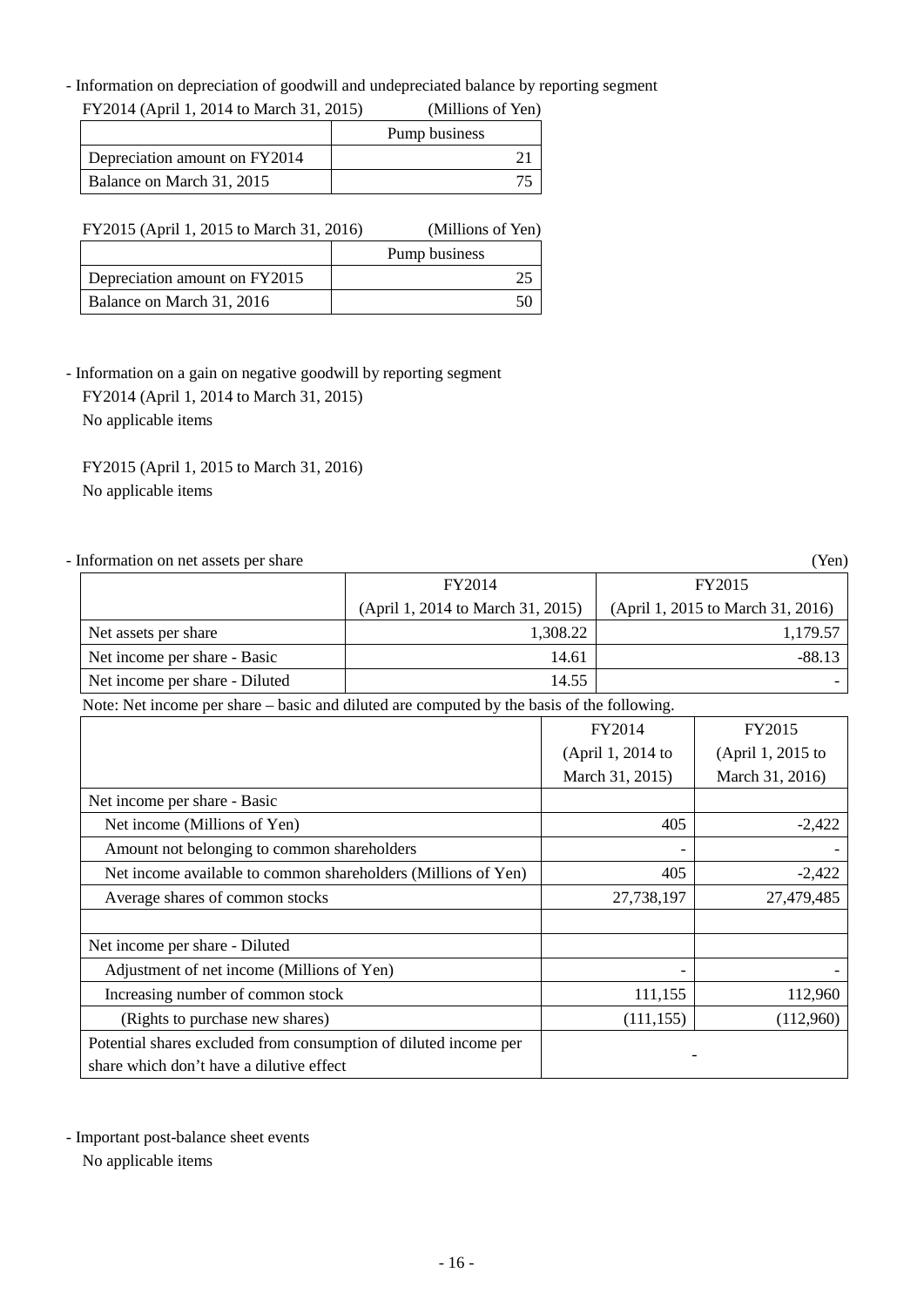- Information on depreciation of goodwill and undepreciated balance by reporting segment<br>
EXCOM (A = 1.2.2014) A = 1.21.2015  $F<sup>2</sup> = 11, 2014$  to March 31, 2015)

| FY 2014 (April 1, 2014 to March 31, 2015) |  | (Millions of Yen) |
|-------------------------------------------|--|-------------------|
|                                           |  | Pump business     |
| Depreciation amount on FY2014             |  |                   |
| Balance on March 31, 2015                 |  |                   |

| FY2015 (April 1, 2015 to March 31, 2016) |  | (Millions of Yen) |  |
|------------------------------------------|--|-------------------|--|
|                                          |  | Pump business     |  |
| Depreciation amount on FY2015            |  |                   |  |
| Balance on March 31, 2016                |  |                   |  |

- Information on a gain on negative goodwill by reporting segment

 FY2014 (April 1, 2014 to March 31, 2015) No applicable items

FY2015 (April 1, 2015 to March 31, 2016) No applicable items

| - Information on net assets per share                                                      |                                   |          |                                   | (Yen)             |
|--------------------------------------------------------------------------------------------|-----------------------------------|----------|-----------------------------------|-------------------|
|                                                                                            | FY2014                            |          | FY2015                            |                   |
|                                                                                            | (April 1, 2014 to March 31, 2015) |          | (April 1, 2015 to March 31, 2016) |                   |
| Net assets per share                                                                       |                                   | 1,308.22 |                                   | 1,179.57          |
| Net income per share - Basic                                                               |                                   | 14.61    |                                   | $-88.13$          |
| Net income per share - Diluted                                                             |                                   | 14.55    |                                   |                   |
| Note: Net income per share – basic and diluted are computed by the basis of the following. |                                   |          |                                   |                   |
|                                                                                            |                                   |          | FY2014                            | FY2015            |
|                                                                                            |                                   |          | (April 1, 2014 to                 | (April 1, 2015 to |
|                                                                                            |                                   |          | March 31, 2015)                   | March 31, 2016)   |
| Net income per share - Basic                                                               |                                   |          |                                   |                   |
| Net income (Millions of Yen)                                                               |                                   |          | 405                               | $-2,422$          |
| Amount not belonging to common shareholders                                                |                                   |          |                                   |                   |
| Net income available to common shareholders (Millions of Yen)                              |                                   |          | 405                               | $-2,422$          |
| Average shares of common stocks                                                            |                                   |          | 27,738,197                        | 27,479,485        |
| Net income per share - Diluted                                                             |                                   |          |                                   |                   |
| Adjustment of net income (Millions of Yen)                                                 |                                   |          |                                   |                   |
| Increasing number of common stock                                                          |                                   |          | 111,155                           | 112,960           |
| (Rights to purchase new shares)                                                            |                                   |          | (111, 155)                        | (112,960)         |
| Potential shares excluded from consumption of diluted income per                           |                                   |          |                                   |                   |
| share which don't have a dilutive effect                                                   |                                   |          |                                   |                   |

- Important post-balance sheet events

No applicable items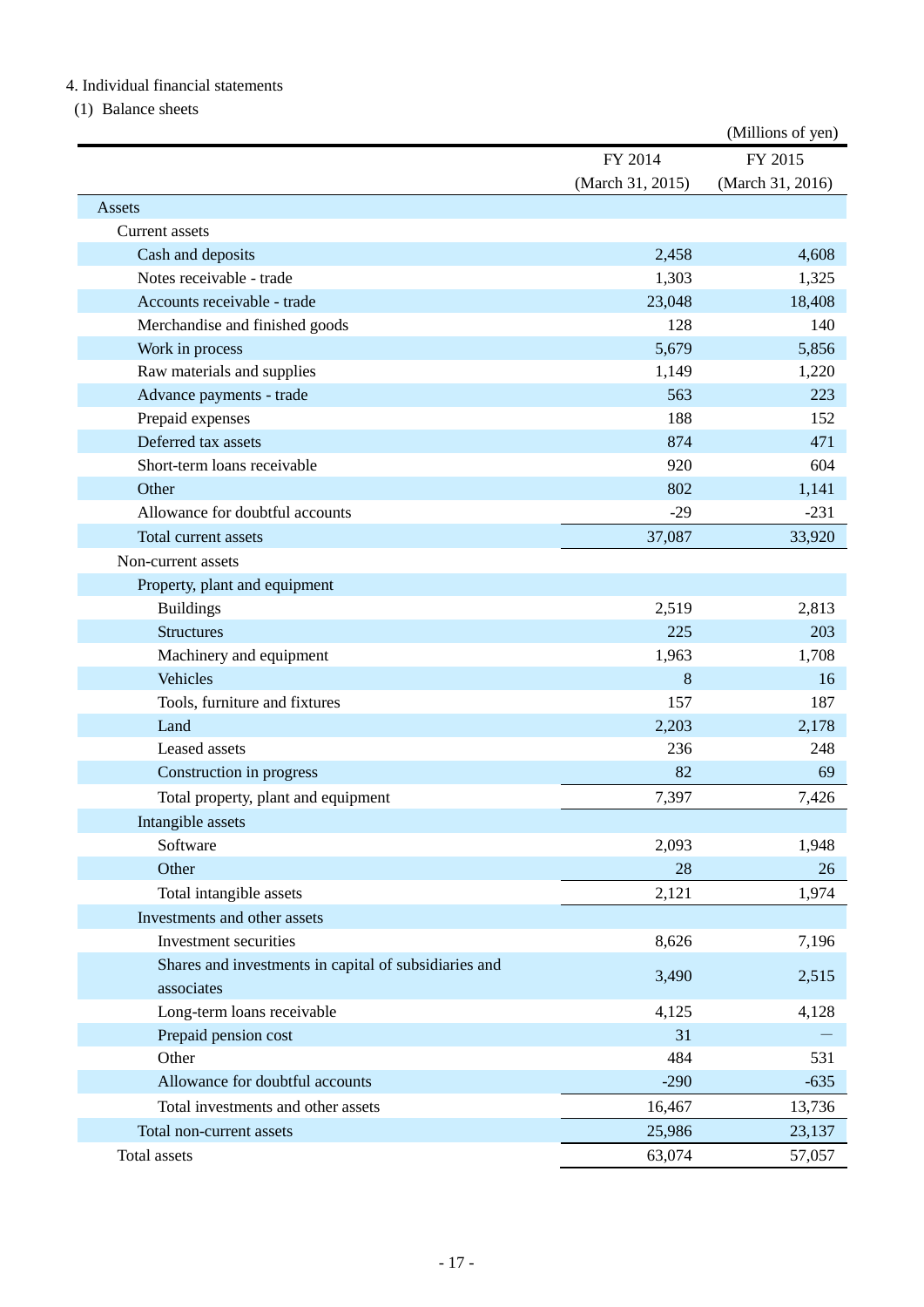### 4. Individual financial statements

(1) Balance sheets

|                                                       |                  | (Millions of yen) |
|-------------------------------------------------------|------------------|-------------------|
|                                                       | FY 2014          | FY 2015           |
|                                                       | (March 31, 2015) | (March 31, 2016)  |
| Assets                                                |                  |                   |
| <b>Current</b> assets                                 |                  |                   |
| Cash and deposits                                     | 2,458            | 4,608             |
| Notes receivable - trade                              | 1,303            | 1,325             |
| Accounts receivable - trade                           | 23,048           | 18,408            |
| Merchandise and finished goods                        | 128              | 140               |
| Work in process                                       | 5,679            | 5,856             |
| Raw materials and supplies                            | 1,149            | 1,220             |
| Advance payments - trade                              | 563              | 223               |
| Prepaid expenses                                      | 188              | 152               |
| Deferred tax assets                                   | 874              | 471               |
| Short-term loans receivable                           | 920              | 604               |
| Other                                                 | 802              | 1,141             |
| Allowance for doubtful accounts                       | $-29$            | $-231$            |
| Total current assets                                  | 37,087           | 33,920            |
| Non-current assets                                    |                  |                   |
| Property, plant and equipment                         |                  |                   |
| <b>Buildings</b>                                      | 2,519            | 2,813             |
| <b>Structures</b>                                     | 225              | 203               |
| Machinery and equipment                               | 1,963            | 1,708             |
| Vehicles                                              | 8                | 16                |
| Tools, furniture and fixtures                         | 157              | 187               |
| Land                                                  | 2,203            | 2,178             |
| Leased assets                                         | 236              | 248               |
| Construction in progress                              | 82               | 69                |
| Total property, plant and equipment                   | 7,397            | 7,426             |
| Intangible assets                                     |                  |                   |
| Software                                              | 2,093            | 1,948             |
| Other                                                 | 28               | 26                |
| Total intangible assets                               | 2,121            | 1,974             |
| Investments and other assets                          |                  |                   |
| Investment securities                                 | 8,626            | 7,196             |
| Shares and investments in capital of subsidiaries and |                  |                   |
| associates                                            | 3,490            | 2,515             |
| Long-term loans receivable                            | 4,125            | 4,128             |
| Prepaid pension cost                                  | 31               |                   |
| Other                                                 | 484              | 531               |
| Allowance for doubtful accounts                       | $-290$           | $-635$            |
| Total investments and other assets                    | 16,467           | 13,736            |
| Total non-current assets                              | 25,986           | 23,137            |
| Total assets                                          | 63,074           | 57,057            |
|                                                       |                  |                   |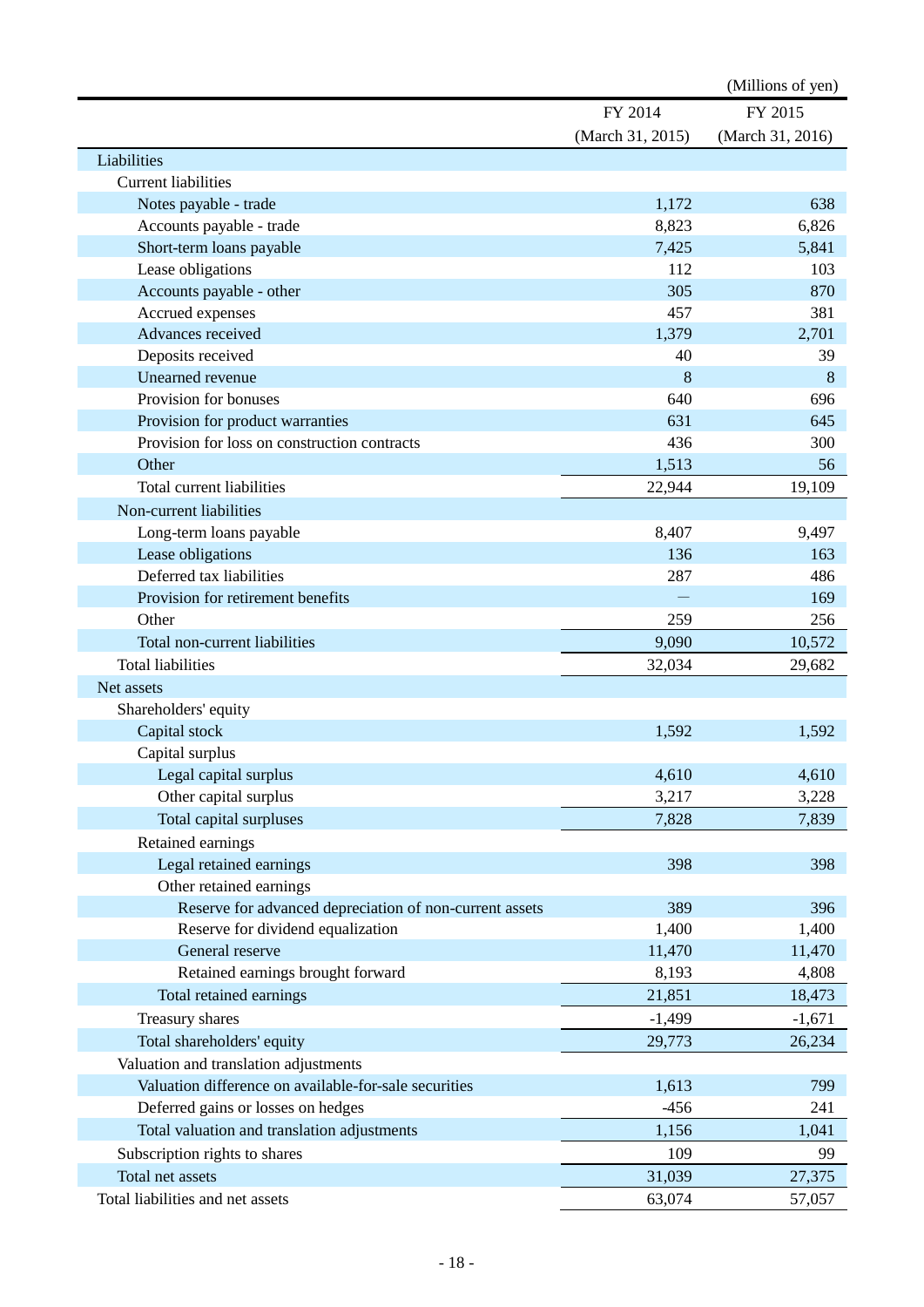|                                                         |                  | (Millions of yen) |
|---------------------------------------------------------|------------------|-------------------|
|                                                         | FY 2014          | FY 2015           |
|                                                         | (March 31, 2015) | (March 31, 2016)  |
| Liabilities                                             |                  |                   |
| <b>Current liabilities</b>                              |                  |                   |
| Notes payable - trade                                   | 1,172            | 638               |
| Accounts payable - trade                                | 8,823            | 6,826             |
| Short-term loans payable                                | 7,425            | 5,841             |
| Lease obligations                                       | 112              | 103               |
| Accounts payable - other                                | 305              | 870               |
| Accrued expenses                                        | 457              | 381               |
| Advances received                                       | 1,379            | 2,701             |
| Deposits received                                       | 40               | 39                |
| Unearned revenue                                        | 8                | 8                 |
| Provision for bonuses                                   | 640              | 696               |
| Provision for product warranties                        | 631              | 645               |
| Provision for loss on construction contracts            | 436              | 300               |
| Other                                                   | 1,513            | 56                |
| Total current liabilities                               | 22,944           | 19,109            |
| Non-current liabilities                                 |                  |                   |
| Long-term loans payable                                 | 8,407            | 9,497             |
| Lease obligations                                       | 136              | 163               |
| Deferred tax liabilities                                | 287              | 486               |
| Provision for retirement benefits                       |                  | 169               |
| Other                                                   | 259              | 256               |
| Total non-current liabilities                           | 9,090            | 10,572            |
| <b>Total liabilities</b>                                | 32,034           | 29,682            |
| Net assets                                              |                  |                   |
| Shareholders' equity                                    |                  |                   |
| Capital stock                                           | 1,592            | 1,592             |
| Capital surplus                                         |                  |                   |
| Legal capital surplus                                   | 4,610            | 4,610             |
| Other capital surplus                                   | 3,217            | 3,228             |
| Total capital surpluses                                 | 7,828            | 7,839             |
| Retained earnings                                       |                  |                   |
| Legal retained earnings                                 | 398              | 398               |
| Other retained earnings                                 |                  |                   |
| Reserve for advanced depreciation of non-current assets | 389              | 396               |
| Reserve for dividend equalization                       | 1,400            | 1,400             |
| General reserve                                         | 11,470           | 11,470            |
| Retained earnings brought forward                       | 8,193            | 4,808             |
| Total retained earnings                                 | 21,851           | 18,473            |
| Treasury shares                                         | $-1,499$         | $-1,671$          |
| Total shareholders' equity                              | 29,773           | 26,234            |
| Valuation and translation adjustments                   |                  |                   |
| Valuation difference on available-for-sale securities   | 1,613            | 799               |
| Deferred gains or losses on hedges                      | $-456$           | 241               |
| Total valuation and translation adjustments             | 1,156            | 1,041             |
| Subscription rights to shares                           | 109              | 99                |
| Total net assets                                        | 31,039           | 27,375            |
| Total liabilities and net assets                        | 63,074           | 57,057            |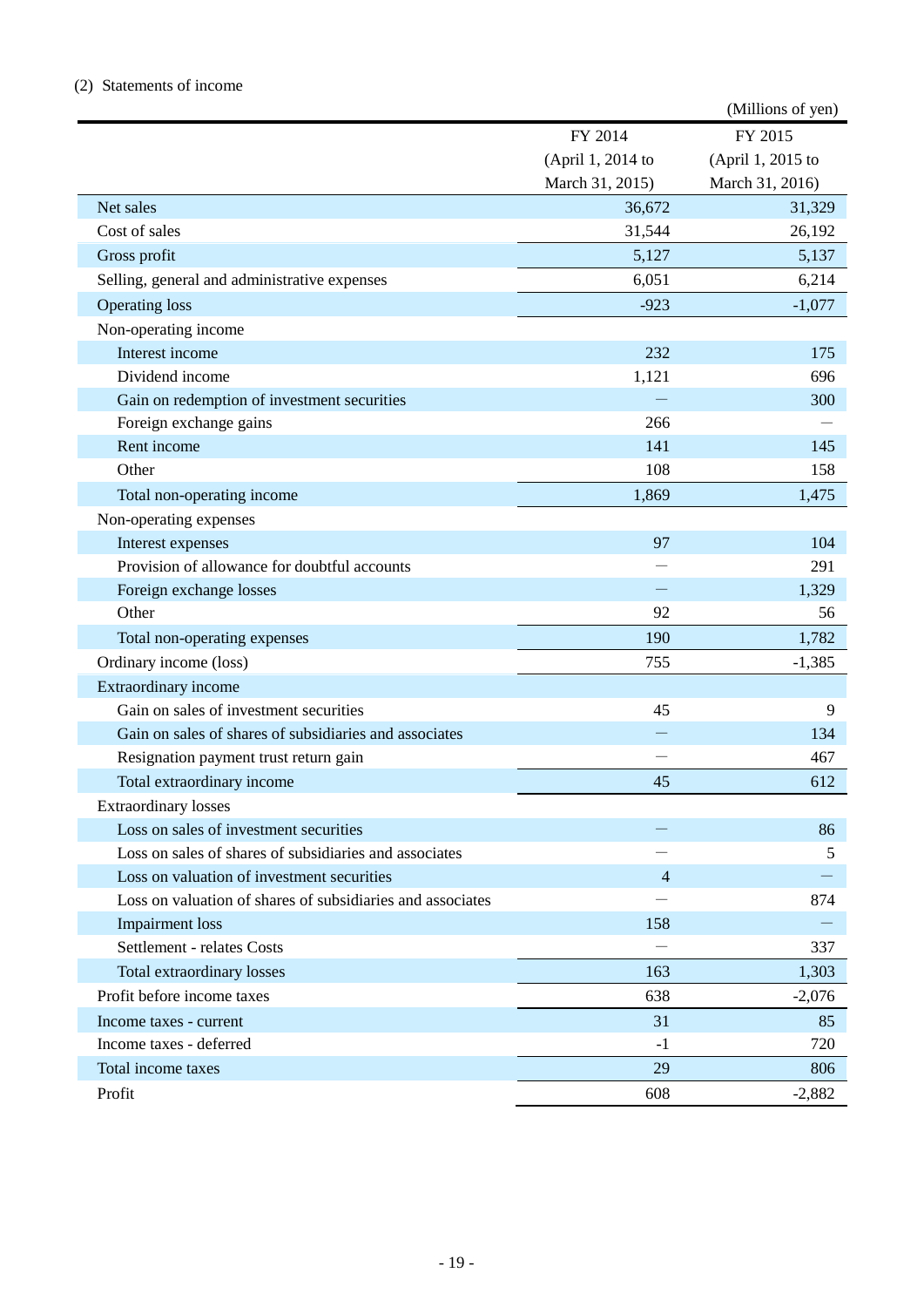### (2) Statements of income

|                                                            |                   | (Millions of yen) |
|------------------------------------------------------------|-------------------|-------------------|
|                                                            | FY 2014           | FY 2015           |
|                                                            | (April 1, 2014 to | (April 1, 2015 to |
|                                                            | March 31, 2015)   | March 31, 2016)   |
| Net sales                                                  | 36,672            | 31,329            |
| Cost of sales                                              | 31,544            | 26,192            |
| Gross profit                                               | 5,127             | 5,137             |
| Selling, general and administrative expenses               | 6,051             | 6,214             |
| <b>Operating loss</b>                                      | $-923$            | $-1,077$          |
| Non-operating income                                       |                   |                   |
| Interest income                                            | 232               | 175               |
| Dividend income                                            | 1,121             | 696               |
| Gain on redemption of investment securities                |                   | 300               |
| Foreign exchange gains                                     | 266               |                   |
| Rent income                                                | 141               | 145               |
| Other                                                      | 108               | 158               |
| Total non-operating income                                 | 1,869             | 1,475             |
| Non-operating expenses                                     |                   |                   |
| Interest expenses                                          | 97                | 104               |
| Provision of allowance for doubtful accounts               |                   | 291               |
| Foreign exchange losses                                    |                   | 1,329             |
| Other                                                      | 92                | 56                |
| Total non-operating expenses                               | 190               | 1,782             |
| Ordinary income (loss)                                     | 755               | $-1,385$          |
| Extraordinary income                                       |                   |                   |
| Gain on sales of investment securities                     | 45                | 9                 |
| Gain on sales of shares of subsidiaries and associates     |                   | 134               |
| Resignation payment trust return gain                      |                   | 467               |
| Total extraordinary income                                 | 45                | 612               |
| <b>Extraordinary losses</b>                                |                   |                   |
| Loss on sales of investment securities                     |                   | 86                |
| Loss on sales of shares of subsidiaries and associates     |                   | 5                 |
| Loss on valuation of investment securities                 | $\overline{4}$    |                   |
| Loss on valuation of shares of subsidiaries and associates |                   | 874               |
| <b>Impairment</b> loss                                     | 158               |                   |
| Settlement - relates Costs                                 |                   | 337               |
| Total extraordinary losses                                 | 163               | 1,303             |
| Profit before income taxes                                 | 638               | $-2,076$          |
| Income taxes - current                                     | 31                | 85                |
| Income taxes - deferred                                    | $-1$              | 720               |
| Total income taxes                                         | 29                | 806               |
| Profit                                                     | 608               | $-2,882$          |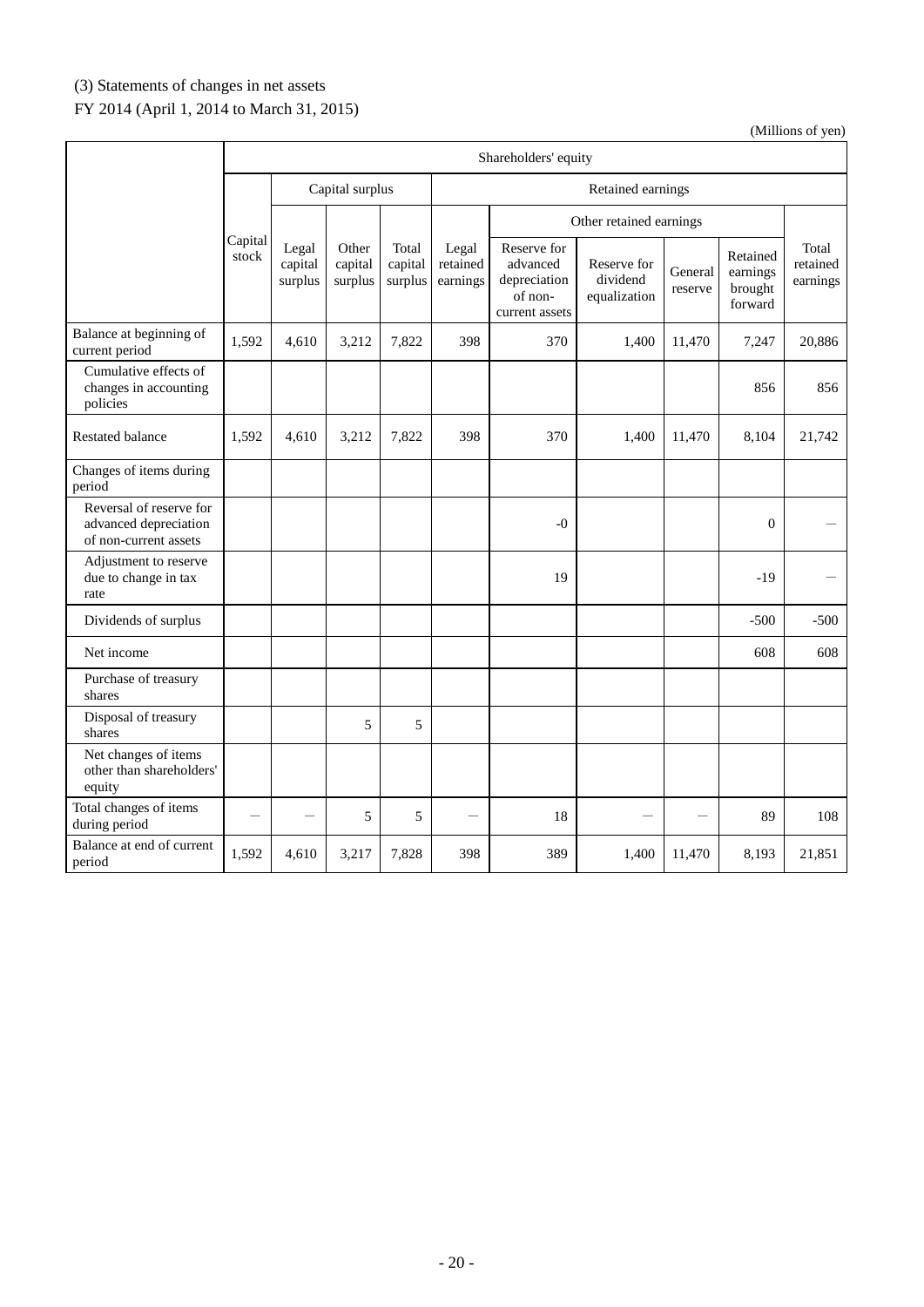# (3) Statements of changes in net assets

# FY 2014 (April 1, 2014 to March 31, 2015)

|                                                                           | Shareholders' equity |                             |                             |                             |                               |                                                                      |                                         |                    |                                            |                               |
|---------------------------------------------------------------------------|----------------------|-----------------------------|-----------------------------|-----------------------------|-------------------------------|----------------------------------------------------------------------|-----------------------------------------|--------------------|--------------------------------------------|-------------------------------|
|                                                                           |                      |                             | Capital surplus             |                             |                               |                                                                      | Retained earnings                       |                    |                                            |                               |
|                                                                           |                      |                             |                             |                             |                               |                                                                      | Other retained earnings                 |                    |                                            |                               |
|                                                                           | Capital<br>stock     | Legal<br>capital<br>surplus | Other<br>capital<br>surplus | Total<br>capital<br>surplus | Legal<br>retained<br>earnings | Reserve for<br>advanced<br>depreciation<br>of non-<br>current assets | Reserve for<br>dividend<br>equalization | General<br>reserve | Retained<br>earnings<br>brought<br>forward | Total<br>retained<br>earnings |
| Balance at beginning of<br>current period                                 | 1,592                | 4,610                       | 3,212                       | 7,822                       | 398                           | 370                                                                  | 1,400                                   | 11,470             | 7,247                                      | 20,886                        |
| Cumulative effects of<br>changes in accounting<br>policies                |                      |                             |                             |                             |                               |                                                                      |                                         |                    | 856                                        | 856                           |
| <b>Restated balance</b>                                                   | 1,592                | 4,610                       | 3,212                       | 7,822                       | 398                           | 370                                                                  | 1,400                                   | 11,470             | 8,104                                      | 21,742                        |
| Changes of items during<br>period                                         |                      |                             |                             |                             |                               |                                                                      |                                         |                    |                                            |                               |
| Reversal of reserve for<br>advanced depreciation<br>of non-current assets |                      |                             |                             |                             |                               | $-0$                                                                 |                                         |                    | $\overline{0}$                             |                               |
| Adjustment to reserve<br>due to change in tax<br>rate                     |                      |                             |                             |                             |                               | 19                                                                   |                                         |                    | $-19$                                      |                               |
| Dividends of surplus                                                      |                      |                             |                             |                             |                               |                                                                      |                                         |                    | $-500$                                     | $-500$                        |
| Net income                                                                |                      |                             |                             |                             |                               |                                                                      |                                         |                    | 608                                        | 608                           |
| Purchase of treasury<br>shares                                            |                      |                             |                             |                             |                               |                                                                      |                                         |                    |                                            |                               |
| Disposal of treasury<br>shares                                            |                      |                             | 5                           | 5                           |                               |                                                                      |                                         |                    |                                            |                               |
| Net changes of items<br>other than shareholders'<br>equity                |                      |                             |                             |                             |                               |                                                                      |                                         |                    |                                            |                               |
| Total changes of items<br>during period                                   |                      |                             | 5                           | 5                           |                               | 18                                                                   |                                         |                    | 89                                         | 108                           |
| Balance at end of current<br>period                                       | 1,592                | 4,610                       | 3,217                       | 7,828                       | 398                           | 389                                                                  | 1,400                                   | 11,470             | 8,193                                      | 21,851                        |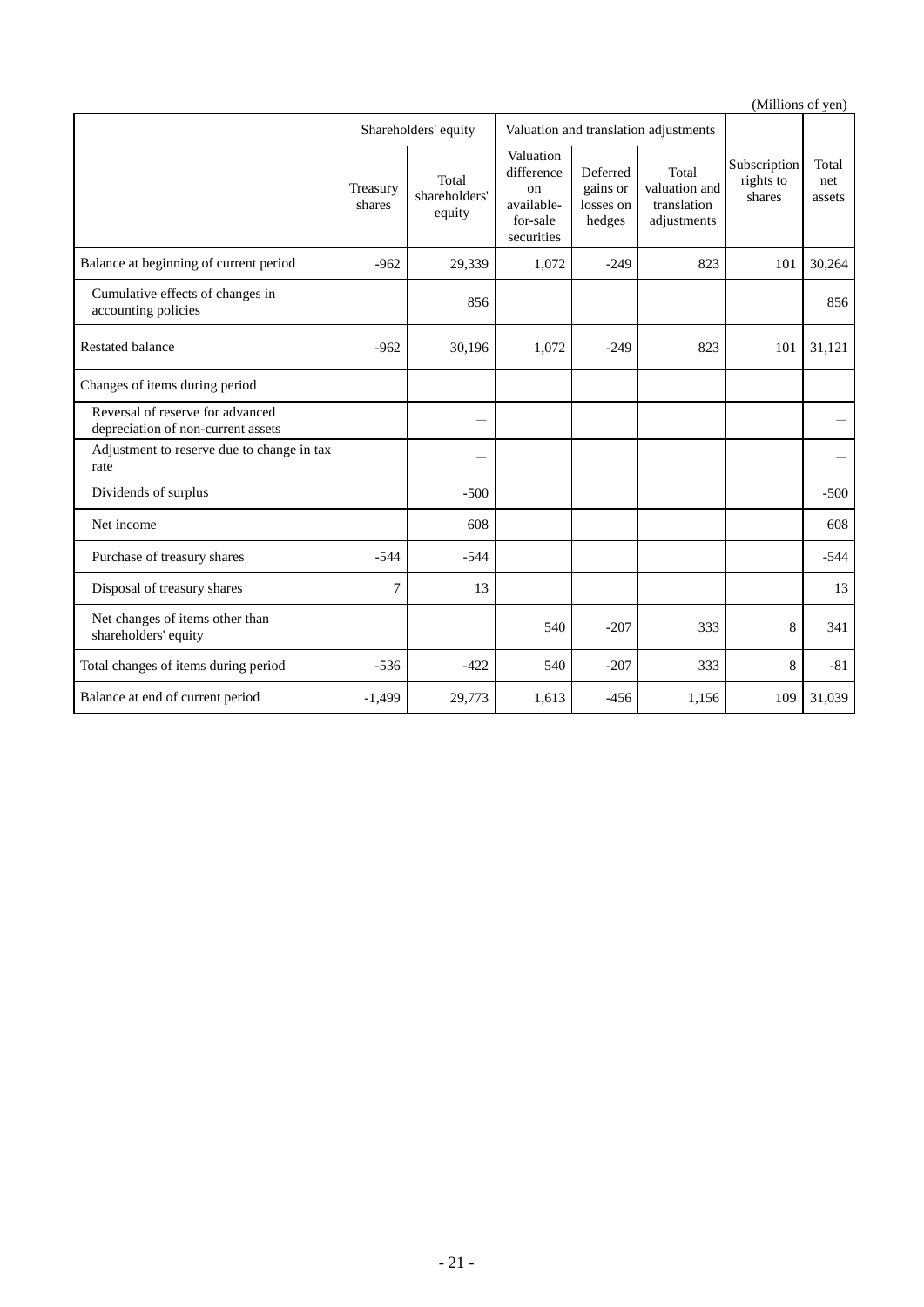|                                                                        |                    |                                  |                                                                       |                                             |                                                      | $(\text{minom } \text{or } \text{gen})$ |                        |
|------------------------------------------------------------------------|--------------------|----------------------------------|-----------------------------------------------------------------------|---------------------------------------------|------------------------------------------------------|-----------------------------------------|------------------------|
|                                                                        |                    | Shareholders' equity             |                                                                       |                                             | Valuation and translation adjustments                |                                         |                        |
|                                                                        | Treasury<br>shares | Total<br>shareholders'<br>equity | Valuation<br>difference<br>on<br>available-<br>for-sale<br>securities | Deferred<br>gains or<br>losses on<br>hedges | Total<br>valuation and<br>translation<br>adjustments | Subscription<br>rights to<br>shares     | Total<br>net<br>assets |
| Balance at beginning of current period                                 | $-962$             | 29,339                           | 1,072                                                                 | $-249$                                      | 823                                                  | 101                                     | 30,264                 |
| Cumulative effects of changes in<br>accounting policies                |                    | 856                              |                                                                       |                                             |                                                      |                                         | 856                    |
| <b>Restated balance</b>                                                | $-962$             | 30,196                           | 1,072                                                                 | $-249$                                      | 823                                                  | 101                                     | 31,121                 |
| Changes of items during period                                         |                    |                                  |                                                                       |                                             |                                                      |                                         |                        |
| Reversal of reserve for advanced<br>depreciation of non-current assets |                    |                                  |                                                                       |                                             |                                                      |                                         |                        |
| Adjustment to reserve due to change in tax<br>rate                     |                    |                                  |                                                                       |                                             |                                                      |                                         |                        |
| Dividends of surplus                                                   |                    | $-500$                           |                                                                       |                                             |                                                      |                                         | $-500$                 |
| Net income                                                             |                    | 608                              |                                                                       |                                             |                                                      |                                         | 608                    |
| Purchase of treasury shares                                            | $-544$             | $-544$                           |                                                                       |                                             |                                                      |                                         | $-544$                 |
| Disposal of treasury shares                                            | 7                  | 13                               |                                                                       |                                             |                                                      |                                         | 13                     |
| Net changes of items other than<br>shareholders' equity                |                    |                                  | 540                                                                   | $-207$                                      | 333                                                  | 8                                       | 341                    |
| Total changes of items during period                                   | $-536$             | $-422$                           | 540                                                                   | $-207$                                      | 333                                                  | 8                                       | $-81$                  |
| Balance at end of current period                                       | $-1,499$           | 29,773                           | 1,613                                                                 | $-456$                                      | 1,156                                                | 109                                     | 31,039                 |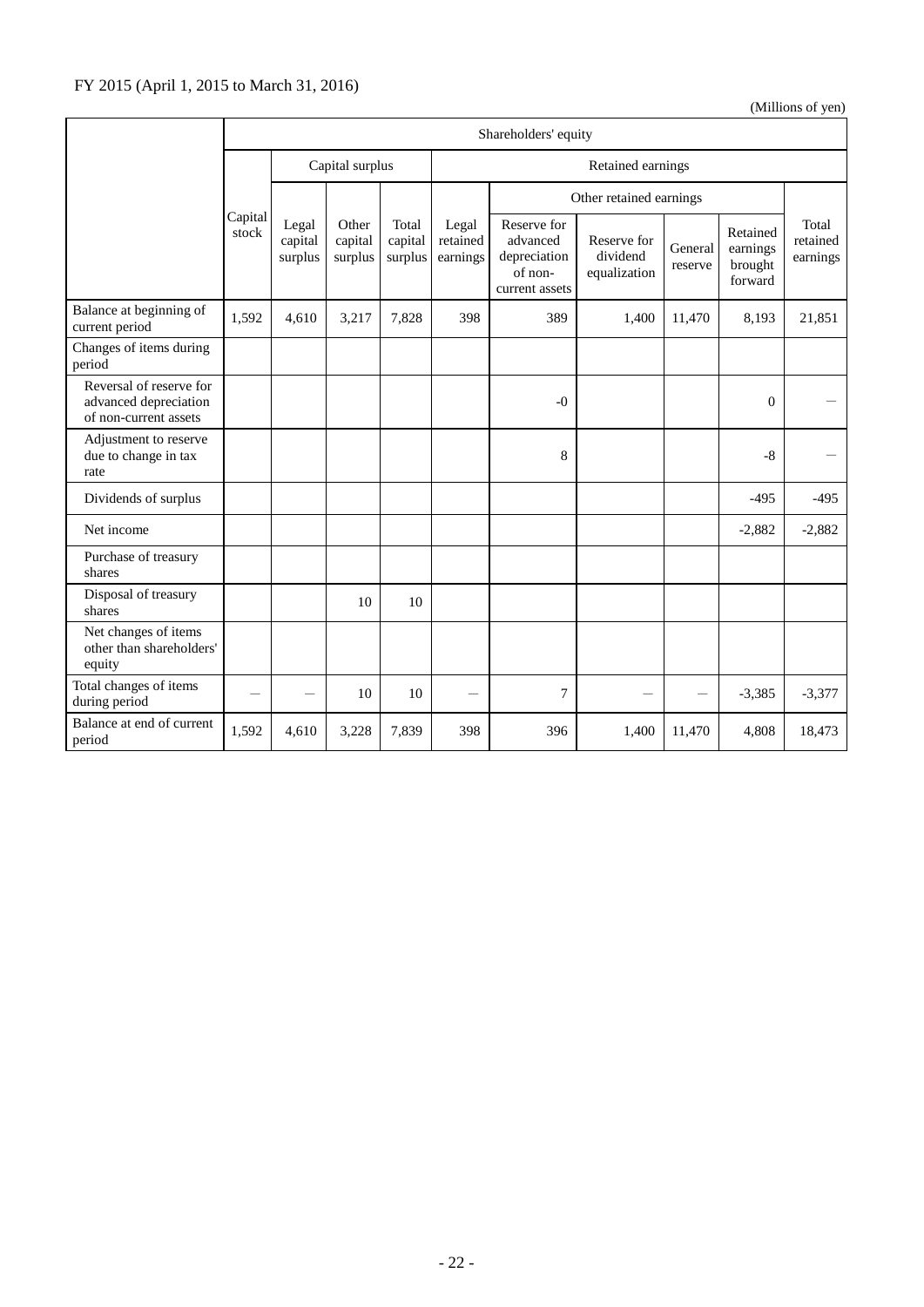|                                                                           | Shareholders' equity |                             |                             |                             |                               |                                                                      |                                         |                    |                                            |                               |
|---------------------------------------------------------------------------|----------------------|-----------------------------|-----------------------------|-----------------------------|-------------------------------|----------------------------------------------------------------------|-----------------------------------------|--------------------|--------------------------------------------|-------------------------------|
|                                                                           |                      |                             | Capital surplus             |                             | Retained earnings             |                                                                      |                                         |                    |                                            |                               |
|                                                                           |                      |                             |                             |                             |                               |                                                                      | Other retained earnings                 |                    |                                            |                               |
|                                                                           | Capital<br>stock     | Legal<br>capital<br>surplus | Other<br>capital<br>surplus | Total<br>capital<br>surplus | Legal<br>retained<br>earnings | Reserve for<br>advanced<br>depreciation<br>of non-<br>current assets | Reserve for<br>dividend<br>equalization | General<br>reserve | Retained<br>earnings<br>brought<br>forward | Total<br>retained<br>earnings |
| Balance at beginning of<br>current period                                 | 1,592                | 4,610                       | 3,217                       | 7,828                       | 398                           | 389                                                                  | 1,400                                   | 11,470             | 8,193                                      | 21,851                        |
| Changes of items during<br>period                                         |                      |                             |                             |                             |                               |                                                                      |                                         |                    |                                            |                               |
| Reversal of reserve for<br>advanced depreciation<br>of non-current assets |                      |                             |                             |                             |                               | $-0$                                                                 |                                         |                    | $\Omega$                                   |                               |
| Adjustment to reserve<br>due to change in tax<br>rate                     |                      |                             |                             |                             |                               | 8                                                                    |                                         |                    | $-8$                                       |                               |
| Dividends of surplus                                                      |                      |                             |                             |                             |                               |                                                                      |                                         |                    | $-495$                                     | $-495$                        |
| Net income                                                                |                      |                             |                             |                             |                               |                                                                      |                                         |                    | $-2,882$                                   | $-2,882$                      |
| Purchase of treasury<br>shares                                            |                      |                             |                             |                             |                               |                                                                      |                                         |                    |                                            |                               |
| Disposal of treasury<br>shares                                            |                      |                             | 10                          | 10                          |                               |                                                                      |                                         |                    |                                            |                               |
| Net changes of items<br>other than shareholders'<br>equity                |                      |                             |                             |                             |                               |                                                                      |                                         |                    |                                            |                               |
| Total changes of items<br>during period                                   |                      |                             | 10                          | 10                          |                               | 7                                                                    |                                         |                    | $-3,385$                                   | $-3,377$                      |
| Balance at end of current<br>period                                       | 1,592                | 4,610                       | 3,228                       | 7,839                       | 398                           | 396                                                                  | 1,400                                   | 11,470             | 4,808                                      | 18,473                        |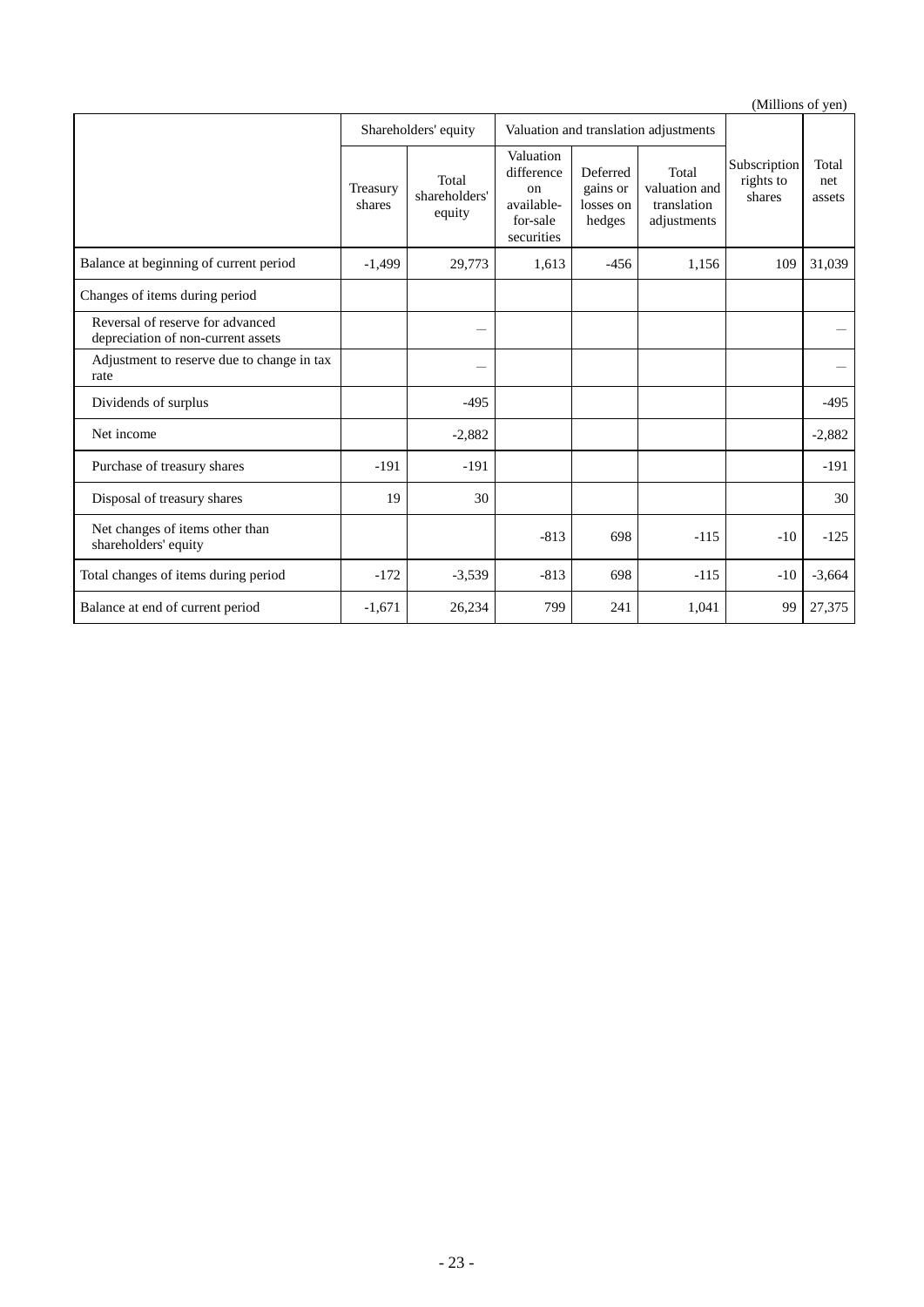|                                                                        |                    |                                  |                                                                       |                                             |                                                      |                                     | $($ whinding of year   |
|------------------------------------------------------------------------|--------------------|----------------------------------|-----------------------------------------------------------------------|---------------------------------------------|------------------------------------------------------|-------------------------------------|------------------------|
|                                                                        |                    | Shareholders' equity             |                                                                       |                                             | Valuation and translation adjustments                |                                     |                        |
|                                                                        | Treasury<br>shares | Total<br>shareholders'<br>equity | Valuation<br>difference<br>on<br>available-<br>for-sale<br>securities | Deferred<br>gains or<br>losses on<br>hedges | Total<br>valuation and<br>translation<br>adjustments | Subscription<br>rights to<br>shares | Total<br>net<br>assets |
| Balance at beginning of current period                                 | $-1,499$           | 29,773                           | 1,613                                                                 | $-456$                                      | 1,156                                                | 109                                 | 31,039                 |
| Changes of items during period                                         |                    |                                  |                                                                       |                                             |                                                      |                                     |                        |
| Reversal of reserve for advanced<br>depreciation of non-current assets |                    | --                               |                                                                       |                                             |                                                      |                                     |                        |
| Adjustment to reserve due to change in tax<br>rate                     |                    |                                  |                                                                       |                                             |                                                      |                                     |                        |
| Dividends of surplus                                                   |                    | $-495$                           |                                                                       |                                             |                                                      |                                     | $-495$                 |
| Net income                                                             |                    | $-2,882$                         |                                                                       |                                             |                                                      |                                     | $-2,882$               |
| Purchase of treasury shares                                            | $-191$             | $-191$                           |                                                                       |                                             |                                                      |                                     | $-191$                 |
| Disposal of treasury shares                                            | 19                 | 30                               |                                                                       |                                             |                                                      |                                     | 30                     |
| Net changes of items other than<br>shareholders' equity                |                    |                                  | $-813$                                                                | 698                                         | $-115$                                               | $-10$                               | $-125$                 |
| Total changes of items during period                                   | $-172$             | $-3,539$                         | $-813$                                                                | 698                                         | $-115$                                               | $-10$                               | $-3,664$               |
| Balance at end of current period                                       | $-1,671$           | 26,234                           | 799                                                                   | 241                                         | 1,041                                                | 99                                  | 27,375                 |